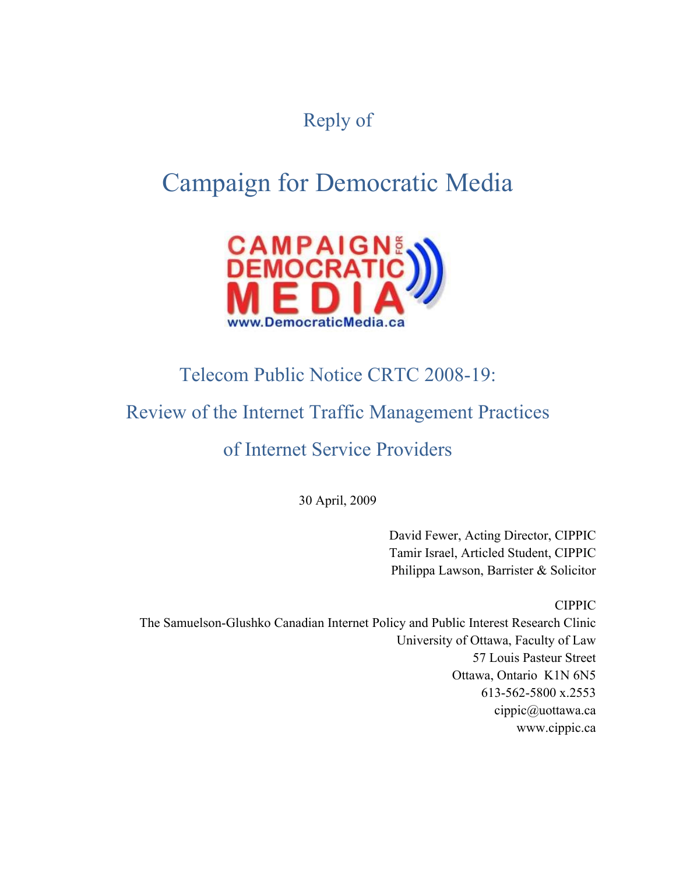## Reply of

# Campaign for Democratic Media



## Telecom Public Notice CRTC 2008-19:

## Review of the Internet Traffic Management Practices

## of Internet Service Providers

30 April, 2009

David Fewer, Acting Director, CIPPIC Tamir Israel, Articled Student, CIPPIC Philippa Lawson, Barrister & Solicitor

CIPPIC

The Samuelson-Glushko Canadian Internet Policy and Public Interest Research Clinic University of Ottawa, Faculty of Law 57 Louis Pasteur Street Ottawa, Ontario K1N 6N5 613-562-5800 x.2553 cippic@uottawa.ca www.cippic.ca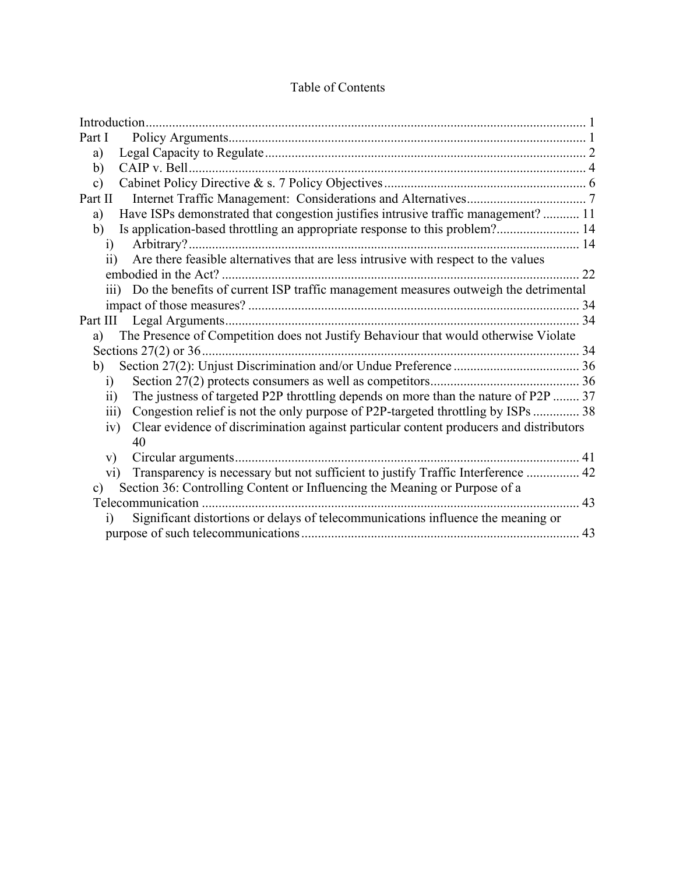| Part I                                                                                                    |    |
|-----------------------------------------------------------------------------------------------------------|----|
| a)                                                                                                        |    |
| b)                                                                                                        |    |
| $\mathbf{c})$                                                                                             |    |
| Part II                                                                                                   |    |
| Have ISPs demonstrated that congestion justifies intrusive traffic management?  11<br>a)                  |    |
| Is application-based throttling an appropriate response to this problem? 14<br>b)                         |    |
| 1)                                                                                                        |    |
| Are there feasible alternatives that are less intrusive with respect to the values<br>$\overline{ii}$     |    |
|                                                                                                           |    |
| iii) Do the benefits of current ISP traffic management measures outweigh the detrimental                  |    |
|                                                                                                           |    |
|                                                                                                           | 34 |
| The Presence of Competition does not Justify Behaviour that would otherwise Violate<br>a)                 |    |
|                                                                                                           |    |
| b)                                                                                                        |    |
| $\ddot{1}$                                                                                                |    |
| The justness of targeted P2P throttling depends on more than the nature of P2P  37<br>$\ddot{\textbf{i}}$ |    |
| Congestion relief is not the only purpose of P2P-targeted throttling by ISPs  38<br>$\overline{111}$      |    |
| Clear evidence of discrimination against particular content producers and distributors<br>iv)             |    |
| 40                                                                                                        |    |
| V)                                                                                                        |    |
| Transparency is necessary but not sufficient to justify Traffic Interference  42<br>$\rm vi)$             |    |
| Section 36: Controlling Content or Influencing the Meaning or Purpose of a<br>c)                          |    |
|                                                                                                           | 43 |
| Significant distortions or delays of telecommunications influence the meaning or<br>$\overline{1}$        |    |
|                                                                                                           |    |

### Table of Contents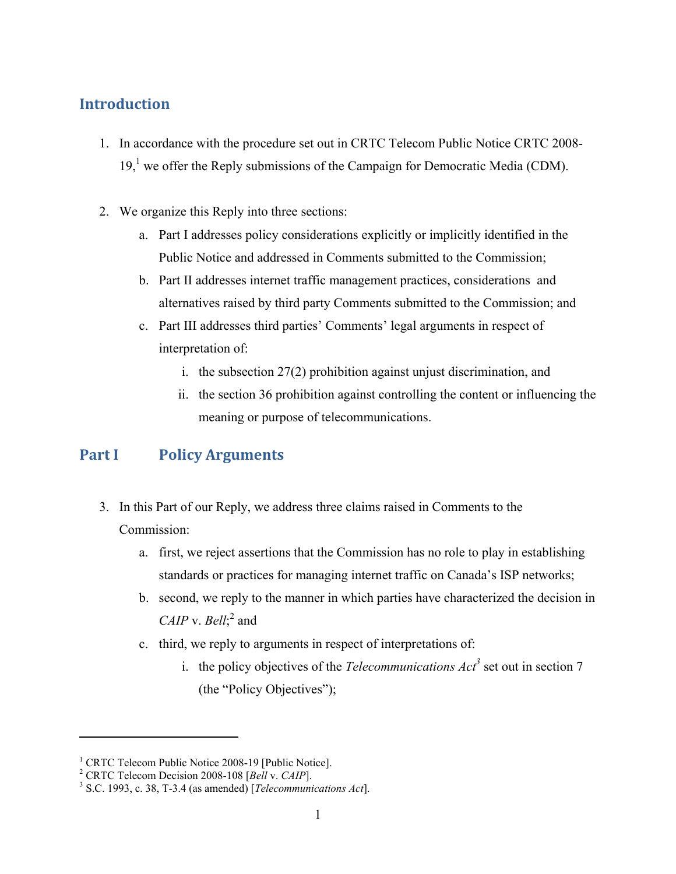## **Introduction**

- 1. In accordance with the procedure set out in CRTC Telecom Public Notice CRTC 2008-  $19<sub>1</sub><sup>1</sup>$  we offer the Reply submissions of the Campaign for Democratic Media (CDM).
- 2. We organize this Reply into three sections:
	- a. Part I addresses policy considerations explicitly or implicitly identified in the Public Notice and addressed in Comments submitted to the Commission;
	- b. Part II addresses internet traffic management practices, considerations and alternatives raised by third party Comments submitted to the Commission; and
	- c. Part III addresses third parties' Comments' legal arguments in respect of interpretation of:
		- i. the subsection 27(2) prohibition against unjust discrimination, and
		- ii. the section 36 prohibition against controlling the content or influencing the meaning or purpose of telecommunications.

## **Part I Policy Arguments**

- 3. In this Part of our Reply, we address three claims raised in Comments to the Commission:
	- a. first, we reject assertions that the Commission has no role to play in establishing standards or practices for managing internet traffic on Canada's ISP networks;
	- b. second, we reply to the manner in which parties have characterized the decision in *CAIP* v. *Bell*;<sup>2</sup> and
	- c. third, we reply to arguments in respect of interpretations of:
		- i. the policy objectives of the *Telecommunications*  $\text{Act}^3$  set out in section 7 (the "Policy Objectives");

<sup>&</sup>lt;sup>1</sup> CRTC Telecom Public Notice 2008-19 [Public Notice].

<sup>&</sup>lt;sup>2</sup> CRTC Telecom Decision 2008-108 [*Bell* v. *CAIP*].

S.C. 1993, c. 38, T-3.4 (as amended) [*Telecommunications Act*].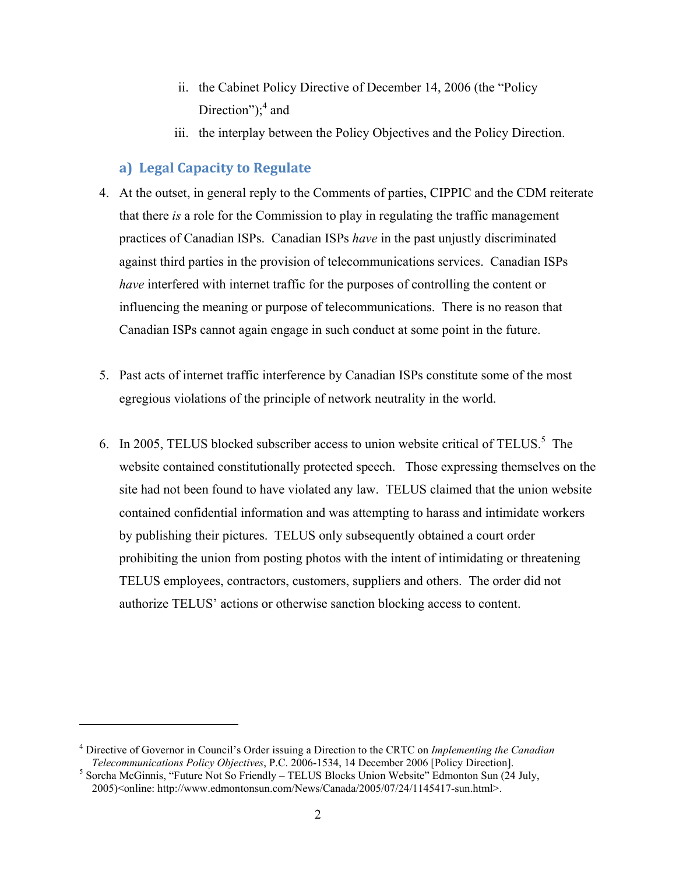- ii. the Cabinet Policy Directive of December 14, 2006 (the "Policy Direction"); $<sup>4</sup>$  and</sup>
- iii. the interplay between the Policy Objectives and the Policy Direction.

#### **a) Legal Capacity to Regulate**

- 4. At the outset, in general reply to the Comments of parties, CIPPIC and the CDM reiterate that there *is* a role for the Commission to play in regulating the traffic management practices of Canadian ISPs. Canadian ISPs *have* in the past unjustly discriminated against third parties in the provision of telecommunications services. Canadian ISPs *have* interfered with internet traffic for the purposes of controlling the content or influencing the meaning or purpose of telecommunications. There is no reason that Canadian ISPs cannot again engage in such conduct at some point in the future.
- 5. Past acts of internet traffic interference by Canadian ISPs constitute some of the most egregious violations of the principle of network neutrality in the world.
- 6. In 2005, TELUS blocked subscriber access to union website critical of TELUS.<sup>5</sup> The website contained constitutionally protected speech. Those expressing themselves on the site had not been found to have violated any law. TELUS claimed that the union website contained confidential information and was attempting to harass and intimidate workers by publishing their pictures. TELUS only subsequently obtained a court order prohibiting the union from posting photos with the intent of intimidating or threatening TELUS employees, contractors, customers, suppliers and others. The order did not authorize TELUS' actions or otherwise sanction blocking access to content.

<sup>4</sup> Directive of Governor in Council's Order issuing a Direction to the CRTC on *Implementing the Canadian Telecommunications Policy Objectives*, P.C. 2006-1534, 14 December 2006 [Policy Direction]. 5

 $<sup>5</sup>$  Sorcha McGinnis, "Future Not So Friendly – TELUS Blocks Union Website" Edmonton Sun (24 July,</sup> 2005)<online: http://www.edmontonsun.com/News/Canada/2005/07/24/1145417-sun.html>.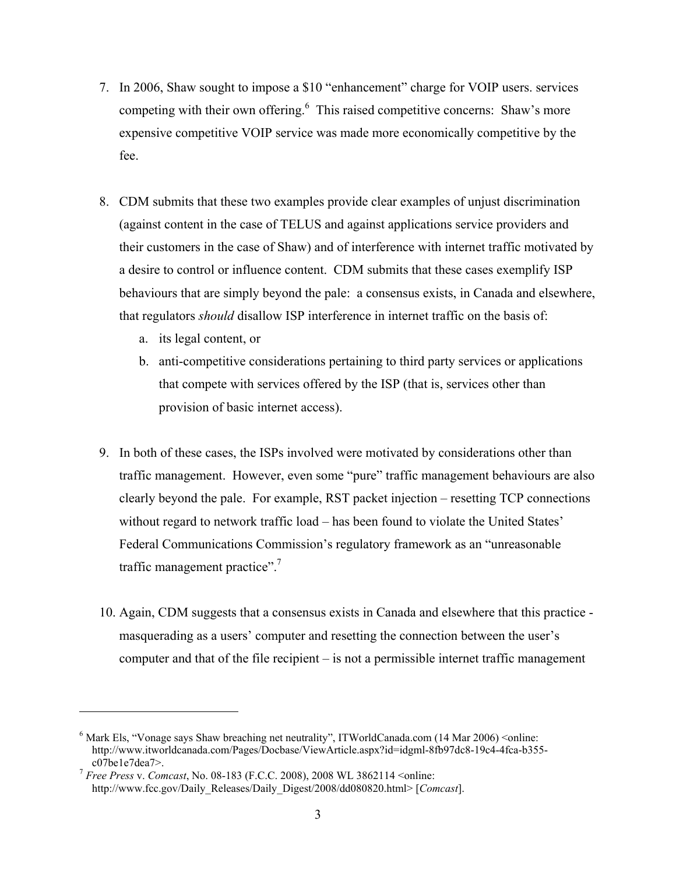- 7. In 2006, Shaw sought to impose a \$10 "enhancement" charge for VOIP users. services competing with their own offering. $6$  This raised competitive concerns: Shaw's more expensive competitive VOIP service was made more economically competitive by the fee.
- 8. CDM submits that these two examples provide clear examples of unjust discrimination (against content in the case of TELUS and against applications service providers and their customers in the case of Shaw) and of interference with internet traffic motivated by a desire to control or influence content. CDM submits that these cases exemplify ISP behaviours that are simply beyond the pale: a consensus exists, in Canada and elsewhere, that regulators *should* disallow ISP interference in internet traffic on the basis of:
	- a. its legal content, or

- b. anti-competitive considerations pertaining to third party services or applications that compete with services offered by the ISP (that is, services other than provision of basic internet access).
- 9. In both of these cases, the ISPs involved were motivated by considerations other than traffic management. However, even some "pure" traffic management behaviours are also clearly beyond the pale. For example, RST packet injection – resetting TCP connections without regard to network traffic load – has been found to violate the United States' Federal Communications Commission's regulatory framework as an "unreasonable traffic management practice". $7$
- 10. Again, CDM suggests that a consensus exists in Canada and elsewhere that this practice masquerading as a users' computer and resetting the connection between the user's computer and that of the file recipient – is not a permissible internet traffic management

<sup>&</sup>lt;sup>6</sup> Mark Els, "Vonage says Shaw breaching net neutrality", ITWorldCanada.com (14 Mar 2006) < online: http://www.itworldcanada.com/Pages/Docbase/ViewArticle.aspx?id=idgml-8fb97dc8-19c4-4fca-b355 c07be1e7dea7>. 7 *Free Press* v. *Comcast*, No. 08-183 (F.C.C. 2008), 2008 WL 3862114 <online:

http://www.fcc.gov/Daily\_Releases/Daily\_Digest/2008/dd080820.html> [*Comcast*].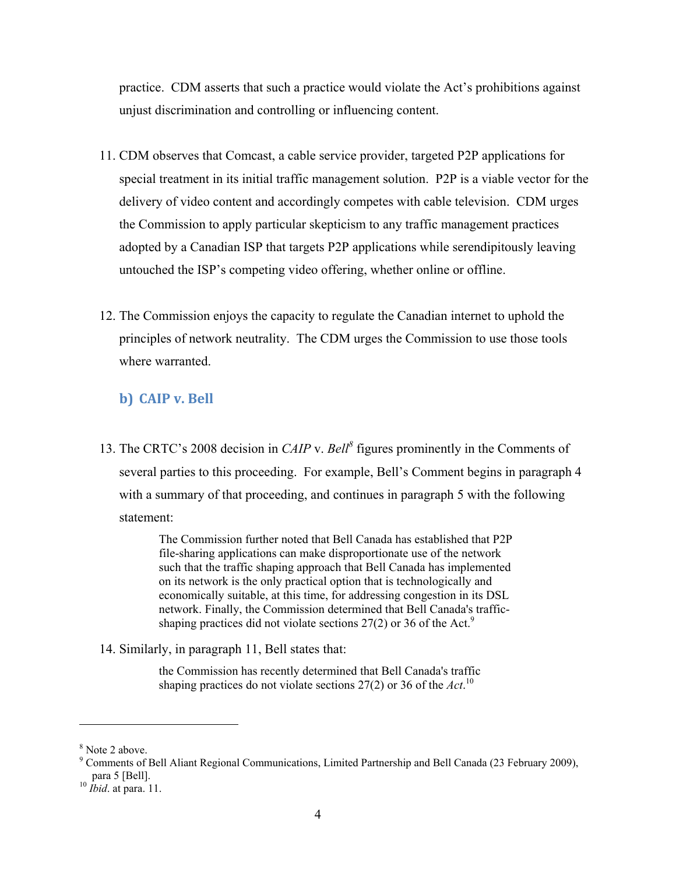practice. CDM asserts that such a practice would violate the Act's prohibitions against unjust discrimination and controlling or influencing content.

- 11. CDM observes that Comcast, a cable service provider, targeted P2P applications for special treatment in its initial traffic management solution. P2P is a viable vector for the delivery of video content and accordingly competes with cable television. CDM urges the Commission to apply particular skepticism to any traffic management practices adopted by a Canadian ISP that targets P2P applications while serendipitously leaving untouched the ISP's competing video offering, whether online or offline.
- 12. The Commission enjoys the capacity to regulate the Canadian internet to uphold the principles of network neutrality. The CDM urges the Commission to use those tools where warranted.

### **b) CAIP v. Bell**

13. The CRTC's 2008 decision in *CAIP* v. *Bell*<sup>8</sup> figures prominently in the Comments of several parties to this proceeding. For example, Bell's Comment begins in paragraph 4 with a summary of that proceeding, and continues in paragraph 5 with the following statement:

> The Commission further noted that Bell Canada has established that P2P file-sharing applications can make disproportionate use of the network such that the traffic shaping approach that Bell Canada has implemented on its network is the only practical option that is technologically and economically suitable, at this time, for addressing congestion in its DSL network. Finally, the Commission determined that Bell Canada's trafficshaping practices did not violate sections  $27(2)$  or 36 of the Act.<sup>9</sup>

14. Similarly, in paragraph 11, Bell states that:

the Commission has recently determined that Bell Canada's traffic shaping practices do not violate sections 27(2) or 36 of the *Act*. 10

<sup>8</sup> Note 2 above.

<sup>&</sup>lt;sup>9</sup> Comments of Bell Aliant Regional Communications, Limited Partnership and Bell Canada (23 February 2009), para 5 [Bell]. 10 *Ibid*. at para. 11.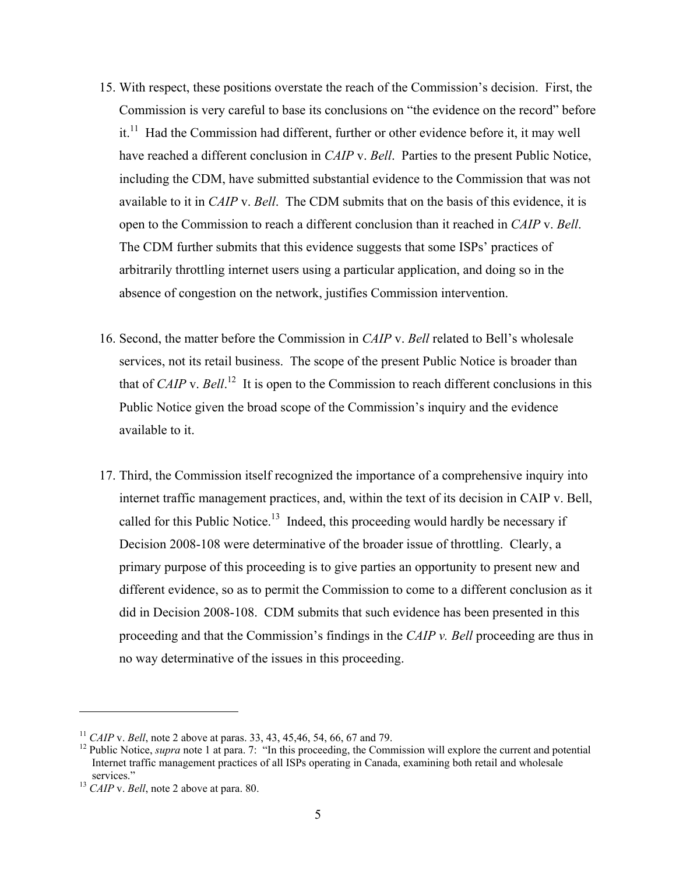- 15. With respect, these positions overstate the reach of the Commission's decision. First, the Commission is very careful to base its conclusions on "the evidence on the record" before it.<sup>11</sup> Had the Commission had different, further or other evidence before it, it may well have reached a different conclusion in *CAIP* v. *Bell*. Parties to the present Public Notice, including the CDM, have submitted substantial evidence to the Commission that was not available to it in *CAIP* v. *Bell*. The CDM submits that on the basis of this evidence, it is open to the Commission to reach a different conclusion than it reached in *CAIP* v. *Bell*. The CDM further submits that this evidence suggests that some ISPs' practices of arbitrarily throttling internet users using a particular application, and doing so in the absence of congestion on the network, justifies Commission intervention.
- 16. Second, the matter before the Commission in *CAIP* v. *Bell* related to Bell's wholesale services, not its retail business. The scope of the present Public Notice is broader than that of *CAIP* v. *Bell*.<sup>12</sup> It is open to the Commission to reach different conclusions in this Public Notice given the broad scope of the Commission's inquiry and the evidence available to it.
- 17. Third, the Commission itself recognized the importance of a comprehensive inquiry into internet traffic management practices, and, within the text of its decision in CAIP v. Bell, called for this Public Notice.<sup>13</sup> Indeed, this proceeding would hardly be necessary if Decision 2008-108 were determinative of the broader issue of throttling. Clearly, a primary purpose of this proceeding is to give parties an opportunity to present new and different evidence, so as to permit the Commission to come to a different conclusion as it did in Decision 2008-108. CDM submits that such evidence has been presented in this proceeding and that the Commission's findings in the *CAIP v. Bell* proceeding are thus in no way determinative of the issues in this proceeding.

<sup>&</sup>lt;sup>11</sup> *CAIP* v. *Bell*, note 2 above at paras. 33, 43, 45,46, 54, 66, 67 and 79.<br><sup>12</sup> Public Notice, *supra* note 1 at para. 7: "In this proceeding, the Commission will explore the current and potential Internet traffic management practices of all ISPs operating in Canada, examining both retail and wholesale services." 13 *CAIP* v. *Bell*, note 2 above at para. 80.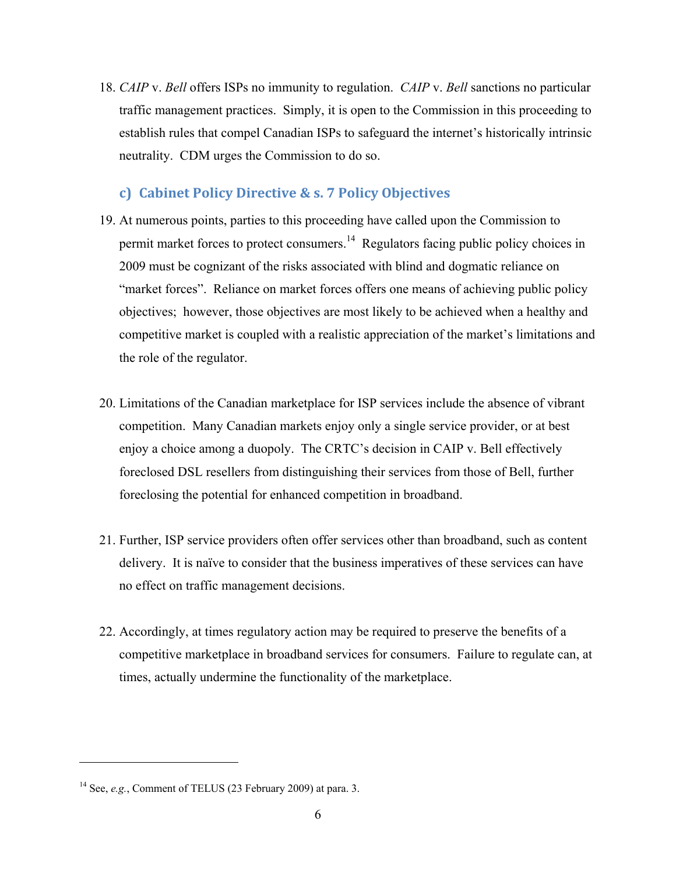18. *CAIP* v. *Bell* offers ISPs no immunity to regulation. *CAIP* v. *Bell* sanctions no particular traffic management practices. Simply, it is open to the Commission in this proceeding to establish rules that compel Canadian ISPs to safeguard the internet's historically intrinsic neutrality. CDM urges the Commission to do so.

### **c) Cabinet Policy Directive & s. 7 Policy Objectives**

- 19. At numerous points, parties to this proceeding have called upon the Commission to permit market forces to protect consumers.14 Regulators facing public policy choices in 2009 must be cognizant of the risks associated with blind and dogmatic reliance on "market forces". Reliance on market forces offers one means of achieving public policy objectives; however, those objectives are most likely to be achieved when a healthy and competitive market is coupled with a realistic appreciation of the market's limitations and the role of the regulator.
- 20. Limitations of the Canadian marketplace for ISP services include the absence of vibrant competition. Many Canadian markets enjoy only a single service provider, or at best enjoy a choice among a duopoly. The CRTC's decision in CAIP v. Bell effectively foreclosed DSL resellers from distinguishing their services from those of Bell, further foreclosing the potential for enhanced competition in broadband.
- 21. Further, ISP service providers often offer services other than broadband, such as content delivery. It is naïve to consider that the business imperatives of these services can have no effect on traffic management decisions.
- 22. Accordingly, at times regulatory action may be required to preserve the benefits of a competitive marketplace in broadband services for consumers. Failure to regulate can, at times, actually undermine the functionality of the marketplace.

<sup>14</sup> See, *e.g.*, Comment of TELUS (23 February 2009) at para. 3.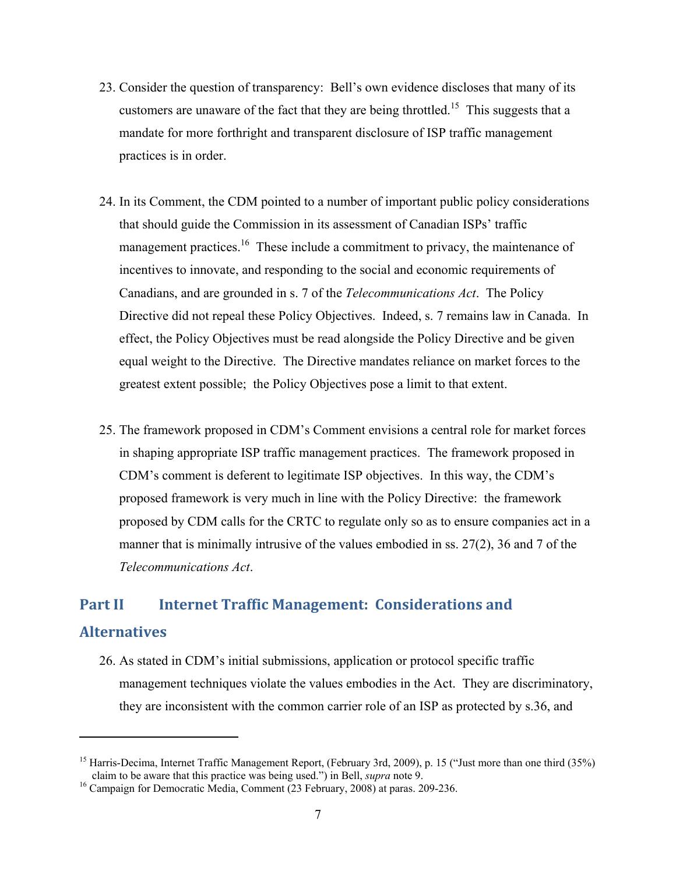- 23. Consider the question of transparency: Bell's own evidence discloses that many of its customers are unaware of the fact that they are being throttled.<sup>15</sup> This suggests that a mandate for more forthright and transparent disclosure of ISP traffic management practices is in order.
- 24. In its Comment, the CDM pointed to a number of important public policy considerations that should guide the Commission in its assessment of Canadian ISPs' traffic management practices.<sup>16</sup> These include a commitment to privacy, the maintenance of incentives to innovate, and responding to the social and economic requirements of Canadians, and are grounded in s. 7 of the *Telecommunications Act*. The Policy Directive did not repeal these Policy Objectives. Indeed, s. 7 remains law in Canada. In effect, the Policy Objectives must be read alongside the Policy Directive and be given equal weight to the Directive. The Directive mandates reliance on market forces to the greatest extent possible; the Policy Objectives pose a limit to that extent.
- 25. The framework proposed in CDM's Comment envisions a central role for market forces in shaping appropriate ISP traffic management practices. The framework proposed in CDM's comment is deferent to legitimate ISP objectives. In this way, the CDM's proposed framework is very much in line with the Policy Directive: the framework proposed by CDM calls for the CRTC to regulate only so as to ensure companies act in a manner that is minimally intrusive of the values embodied in ss. 27(2), 36 and 7 of the *Telecommunications Act*.

## **Part II Internet Traffic Management: Considerations and Alternatives**

26. As stated in CDM's initial submissions, application or protocol specific traffic management techniques violate the values embodies in the Act. They are discriminatory, they are inconsistent with the common carrier role of an ISP as protected by s.36, and

<sup>&</sup>lt;sup>15</sup> Harris-Decima, Internet Traffic Management Report, (February 3rd, 2009), p. 15 ("Just more than one third (35%) claim to be aware that this practice was being used.") in Bell, *supra* note 9. 16 Campaign for Democratic Media, Comment (23 February, 2008) at paras. 209-236.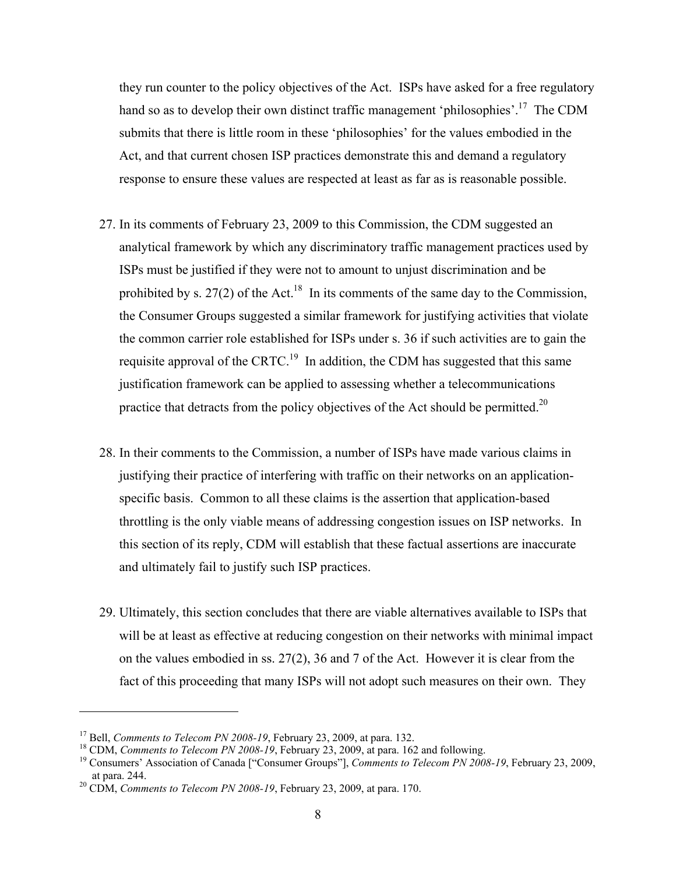they run counter to the policy objectives of the Act. ISPs have asked for a free regulatory hand so as to develop their own distinct traffic management 'philosophies'.<sup>17</sup> The CDM submits that there is little room in these 'philosophies' for the values embodied in the Act, and that current chosen ISP practices demonstrate this and demand a regulatory response to ensure these values are respected at least as far as is reasonable possible.

- 27. In its comments of February 23, 2009 to this Commission, the CDM suggested an analytical framework by which any discriminatory traffic management practices used by ISPs must be justified if they were not to amount to unjust discrimination and be prohibited by s. 27(2) of the Act.<sup>18</sup> In its comments of the same day to the Commission, the Consumer Groups suggested a similar framework for justifying activities that violate the common carrier role established for ISPs under s. 36 if such activities are to gain the requisite approval of the CRTC.<sup>19</sup> In addition, the CDM has suggested that this same justification framework can be applied to assessing whether a telecommunications practice that detracts from the policy objectives of the Act should be permitted.<sup>20</sup>
- 28. In their comments to the Commission, a number of ISPs have made various claims in justifying their practice of interfering with traffic on their networks on an applicationspecific basis. Common to all these claims is the assertion that application-based throttling is the only viable means of addressing congestion issues on ISP networks. In this section of its reply, CDM will establish that these factual assertions are inaccurate and ultimately fail to justify such ISP practices.
- 29. Ultimately, this section concludes that there are viable alternatives available to ISPs that will be at least as effective at reducing congestion on their networks with minimal impact on the values embodied in ss.  $27(2)$ , 36 and 7 of the Act. However it is clear from the fact of this proceeding that many ISPs will not adopt such measures on their own. They

<sup>&</sup>lt;sup>17</sup> Bell, *Comments to Telecom PN 2008-19*, February 23, 2009, at para. 132.<br><sup>18</sup> CDM, *Comments to Telecom PN 2008-19*, February 23, 2009, at para. 162 and following.<br><sup>19</sup> Consumers' Association of Canada ["Consumer Gro at para. 244. 20 CDM, *Comments to Telecom PN 2008-19*, February 23, 2009, at para. 170.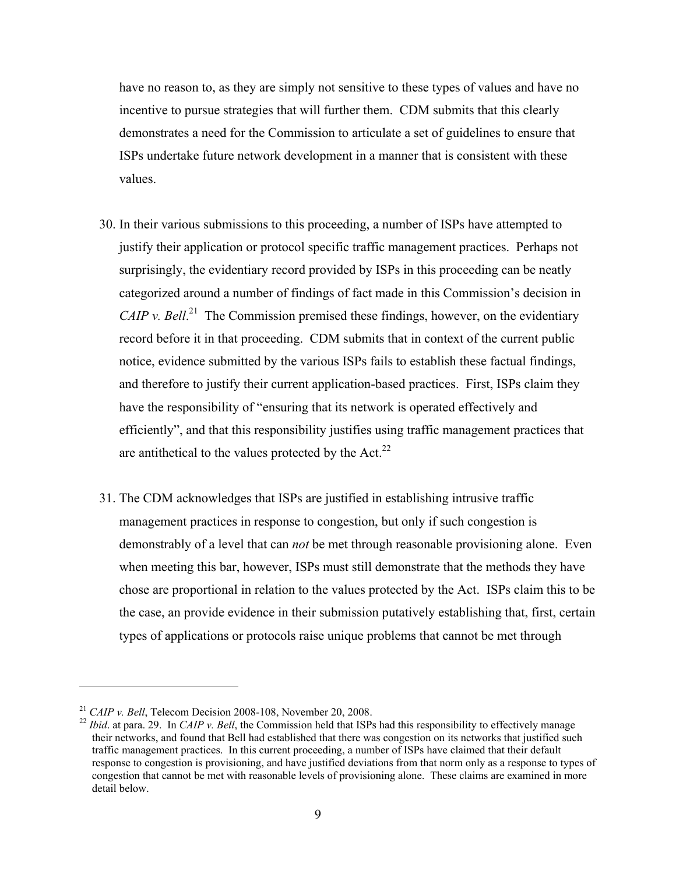have no reason to, as they are simply not sensitive to these types of values and have no incentive to pursue strategies that will further them. CDM submits that this clearly demonstrates a need for the Commission to articulate a set of guidelines to ensure that ISPs undertake future network development in a manner that is consistent with these values.

- 30. In their various submissions to this proceeding, a number of ISPs have attempted to justify their application or protocol specific traffic management practices. Perhaps not surprisingly, the evidentiary record provided by ISPs in this proceeding can be neatly categorized around a number of findings of fact made in this Commission's decision in *CAIP v. Bell*.<sup>21</sup> The Commission premised these findings, however, on the evidentiary record before it in that proceeding. CDM submits that in context of the current public notice, evidence submitted by the various ISPs fails to establish these factual findings, and therefore to justify their current application-based practices. First, ISPs claim they have the responsibility of "ensuring that its network is operated effectively and efficiently", and that this responsibility justifies using traffic management practices that are antithetical to the values protected by the Act. $^{22}$
- 31. The CDM acknowledges that ISPs are justified in establishing intrusive traffic management practices in response to congestion, but only if such congestion is demonstrably of a level that can *not* be met through reasonable provisioning alone. Even when meeting this bar, however, ISPs must still demonstrate that the methods they have chose are proportional in relation to the values protected by the Act. ISPs claim this to be the case, an provide evidence in their submission putatively establishing that, first, certain types of applications or protocols raise unique problems that cannot be met through

<sup>&</sup>lt;sup>21</sup> *CAIP v. Bell*, Telecom Decision 2008-108, November 20, 2008.<br><sup>22</sup> *Ibid.* at para. 29. In *CAIP v. Bell*, the Commission held that ISPs had this responsibility to effectively manage their networks, and found that Bell had established that there was congestion on its networks that justified such traffic management practices. In this current proceeding, a number of ISPs have claimed that their default response to congestion is provisioning, and have justified deviations from that norm only as a response to types of congestion that cannot be met with reasonable levels of provisioning alone. These claims are examined in more detail below.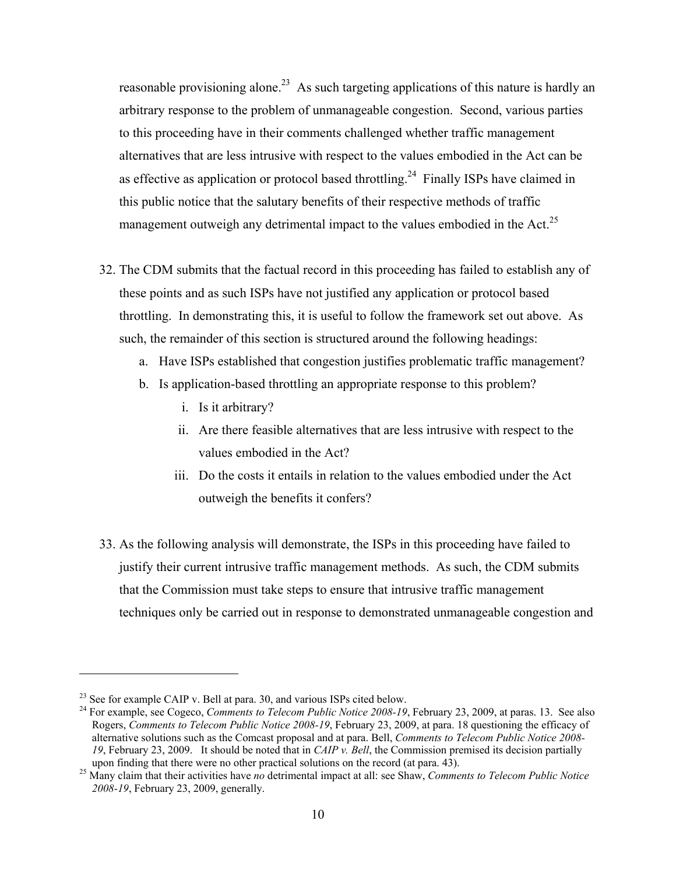reasonable provisioning alone.<sup>23</sup> As such targeting applications of this nature is hardly an arbitrary response to the problem of unmanageable congestion. Second, various parties to this proceeding have in their comments challenged whether traffic management alternatives that are less intrusive with respect to the values embodied in the Act can be as effective as application or protocol based throttling.<sup>24</sup> Finally ISPs have claimed in this public notice that the salutary benefits of their respective methods of traffic management outweigh any detrimental impact to the values embodied in the Act.<sup>25</sup>

- 32. The CDM submits that the factual record in this proceeding has failed to establish any of these points and as such ISPs have not justified any application or protocol based throttling. In demonstrating this, it is useful to follow the framework set out above. As such, the remainder of this section is structured around the following headings:
	- a. Have ISPs established that congestion justifies problematic traffic management?
	- b. Is application-based throttling an appropriate response to this problem?
		- i. Is it arbitrary?
		- ii. Are there feasible alternatives that are less intrusive with respect to the values embodied in the Act?
		- iii. Do the costs it entails in relation to the values embodied under the Act outweigh the benefits it confers?
- 33. As the following analysis will demonstrate, the ISPs in this proceeding have failed to justify their current intrusive traffic management methods. As such, the CDM submits that the Commission must take steps to ensure that intrusive traffic management techniques only be carried out in response to demonstrated unmanageable congestion and

 $^{23}$  See for example CAIP v. Bell at para. 30, and various ISPs cited below.

<sup>&</sup>lt;sup>24</sup> For example, see Cogeco, *Comments to Telecom Public Notice 2008-19*, February 23, 2009, at paras. 13. See also Rogers, *Comments to Telecom Public Notice 2008-19*, February 23, 2009, at para. 18 questioning the efficacy of alternative solutions such as the Comcast proposal and at para. Bell, *Comments to Telecom Public Notice 2008- 19*, February 23, 2009. It should be noted that in *CAIP v. Bell*, the Commission premised its decision partially

upon finding that there were no other practical solutions on the record (at para. 43). 25 Many claim that their activities have *no* detrimental impact at all: see Shaw, *Comments to Telecom Public Notice 2008-19*, February 23, 2009, generally.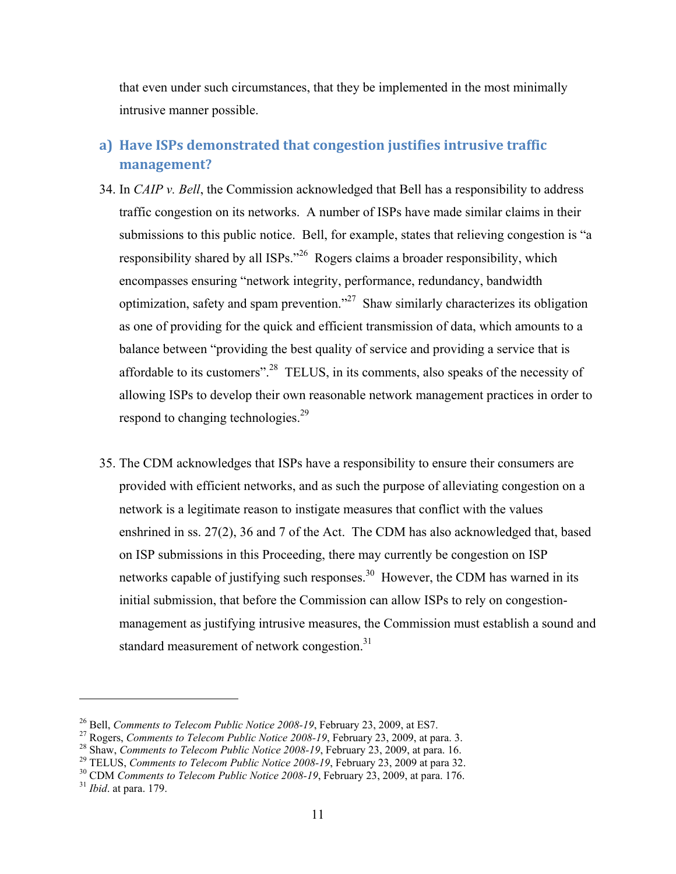that even under such circumstances, that they be implemented in the most minimally intrusive manner possible.

## **a) Have ISPs demonstrated that congestion justifies intrusive traffic management?**

- 34. In *CAIP v. Bell*, the Commission acknowledged that Bell has a responsibility to address traffic congestion on its networks. A number of ISPs have made similar claims in their submissions to this public notice. Bell, for example, states that relieving congestion is "a responsibility shared by all ISPs."26 Rogers claims a broader responsibility, which encompasses ensuring "network integrity, performance, redundancy, bandwidth optimization, safety and spam prevention.<sup> $27$ </sup> Shaw similarly characterizes its obligation as one of providing for the quick and efficient transmission of data, which amounts to a balance between "providing the best quality of service and providing a service that is affordable to its customers".<sup>28</sup> TELUS, in its comments, also speaks of the necessity of allowing ISPs to develop their own reasonable network management practices in order to respond to changing technologies.<sup>29</sup>
- 35. The CDM acknowledges that ISPs have a responsibility to ensure their consumers are provided with efficient networks, and as such the purpose of alleviating congestion on a network is a legitimate reason to instigate measures that conflict with the values enshrined in ss. 27(2), 36 and 7 of the Act. The CDM has also acknowledged that, based on ISP submissions in this Proceeding, there may currently be congestion on ISP networks capable of justifying such responses.<sup>30</sup> However, the CDM has warned in its initial submission, that before the Commission can allow ISPs to rely on congestionmanagement as justifying intrusive measures, the Commission must establish a sound and standard measurement of network congestion.<sup>31</sup>

<sup>&</sup>lt;sup>26</sup> Bell, *Comments to Telecom Public Notice 2008-19*, February 23, 2009, at ES7.<br><sup>27</sup> Rogers, *Comments to Telecom Public Notice 2008-19*, February 23, 2009, at para. 3.<br><sup>28</sup> Shaw, *Comments to Telecom Public Notice 200*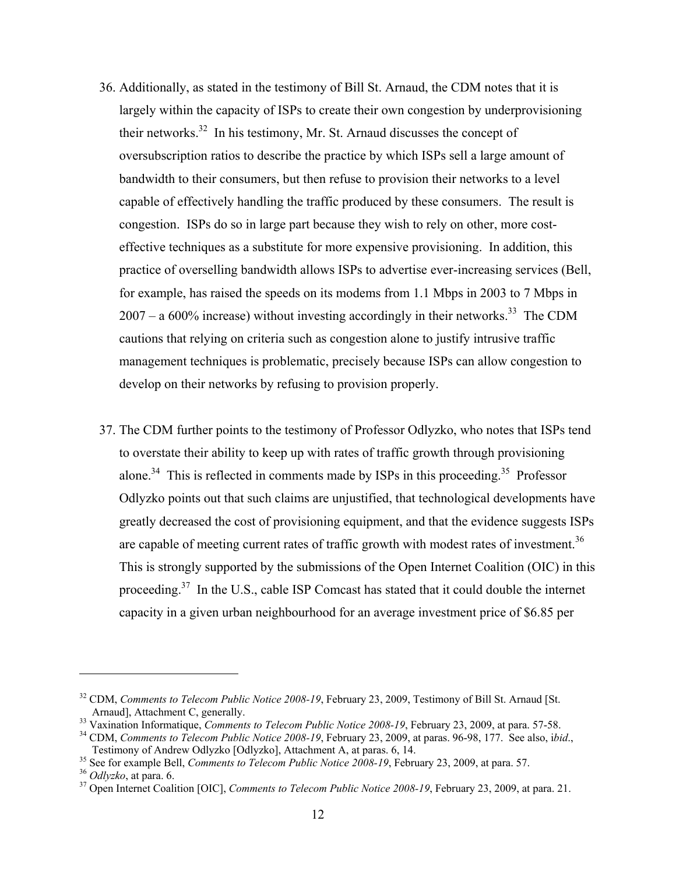- 36. Additionally, as stated in the testimony of Bill St. Arnaud, the CDM notes that it is largely within the capacity of ISPs to create their own congestion by underprovisioning their networks.<sup>32</sup> In his testimony, Mr. St. Arnaud discusses the concept of oversubscription ratios to describe the practice by which ISPs sell a large amount of bandwidth to their consumers, but then refuse to provision their networks to a level capable of effectively handling the traffic produced by these consumers. The result is congestion. ISPs do so in large part because they wish to rely on other, more costeffective techniques as a substitute for more expensive provisioning. In addition, this practice of overselling bandwidth allows ISPs to advertise ever-increasing services (Bell, for example, has raised the speeds on its modems from 1.1 Mbps in 2003 to 7 Mbps in  $2007 - a 600\%$  increase) without investing accordingly in their networks.<sup>33</sup> The CDM cautions that relying on criteria such as congestion alone to justify intrusive traffic management techniques is problematic, precisely because ISPs can allow congestion to develop on their networks by refusing to provision properly.
- 37. The CDM further points to the testimony of Professor Odlyzko, who notes that ISPs tend to overstate their ability to keep up with rates of traffic growth through provisioning alone.<sup>34</sup> This is reflected in comments made by ISPs in this proceeding.<sup>35</sup> Professor Odlyzko points out that such claims are unjustified, that technological developments have greatly decreased the cost of provisioning equipment, and that the evidence suggests ISPs are capable of meeting current rates of traffic growth with modest rates of investment.<sup>36</sup> This is strongly supported by the submissions of the Open Internet Coalition (OIC) in this proceeding.37 In the U.S., cable ISP Comcast has stated that it could double the internet capacity in a given urban neighbourhood for an average investment price of \$6.85 per

<sup>&</sup>lt;sup>32</sup> CDM, *Comments to Telecom Public Notice 2008-19*, February 23, 2009, Testimony of Bill St. Arnaud [St. Arnaud], Attachment C, generally.

<sup>&</sup>lt;sup>33</sup> Vaxination Informatique, *Comments to Telecom Public Notice 2008-19*, February 23, 2009, at para. 57-58.<br><sup>34</sup> CDM, *Comments to Telecom Public Notice 2008-19*, February 23, 2009, at paras. 96-98, 177. See also, i*bid.* 

<sup>&</sup>lt;sup>35</sup> See for example Bell, *Comments to Telecom Public Notice 2008-19*, February 23, 2009, at para. 57.<br><sup>36</sup> Odlyzko, at para. 6.<br><sup>37</sup> Open Internet Coalition [OIC], *Comments to Telecom Public Notice 2008-19*, February 2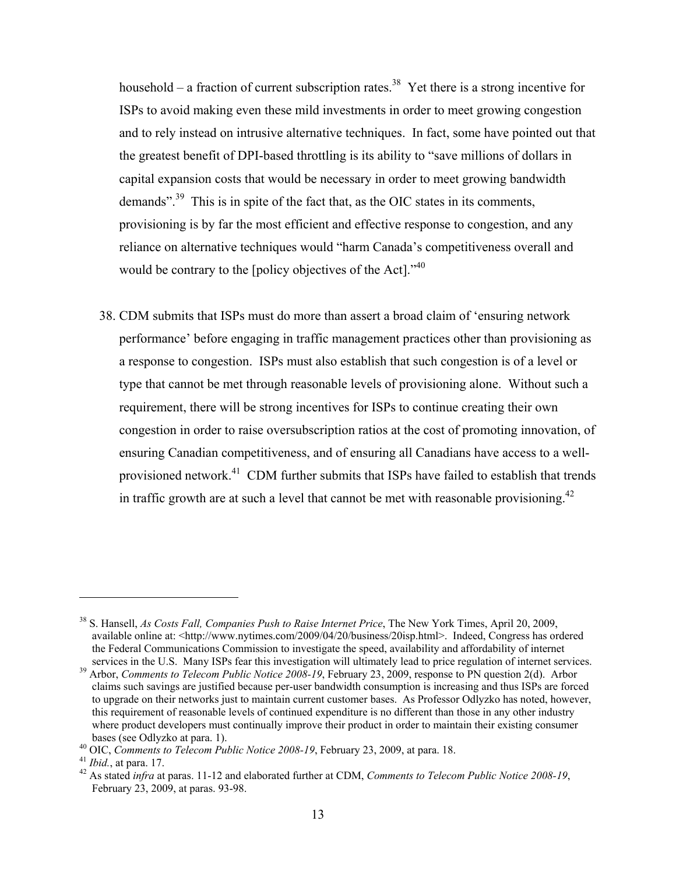household – a fraction of current subscription rates.<sup>38</sup> Yet there is a strong incentive for ISPs to avoid making even these mild investments in order to meet growing congestion and to rely instead on intrusive alternative techniques. In fact, some have pointed out that the greatest benefit of DPI-based throttling is its ability to "save millions of dollars in capital expansion costs that would be necessary in order to meet growing bandwidth demands".39 This is in spite of the fact that, as the OIC states in its comments, provisioning is by far the most efficient and effective response to congestion, and any reliance on alternative techniques would "harm Canada's competitiveness overall and would be contrary to the [policy objectives of the Act]."<sup>40</sup>

38. CDM submits that ISPs must do more than assert a broad claim of 'ensuring network performance' before engaging in traffic management practices other than provisioning as a response to congestion. ISPs must also establish that such congestion is of a level or type that cannot be met through reasonable levels of provisioning alone. Without such a requirement, there will be strong incentives for ISPs to continue creating their own congestion in order to raise oversubscription ratios at the cost of promoting innovation, of ensuring Canadian competitiveness, and of ensuring all Canadians have access to a wellprovisioned network.<sup>41</sup> CDM further submits that ISPs have failed to establish that trends in traffic growth are at such a level that cannot be met with reasonable provisioning.<sup>42</sup>

<sup>38</sup> S. Hansell, *As Costs Fall, Companies Push to Raise Internet Price*, The New York Times, April 20, 2009, available online at: <http://www.nytimes.com/2009/04/20/business/20isp.html>. Indeed, Congress has ordered the Federal Communications Commission to investigate the speed, availability and affordability of internet

services in the U.S. Many ISPs fear this investigation will ultimately lead to price regulation of internet services.<br><sup>39</sup> Arbor, *Comments to Telecom Public Notice 2008-19*, February 23, 2009, response to PN question 2(d) claims such savings are justified because per-user bandwidth consumption is increasing and thus ISPs are forced to upgrade on their networks just to maintain current customer bases. As Professor Odlyzko has noted, however, this requirement of reasonable levels of continued expenditure is no different than those in any other industry where product developers must continually improve their product in order to maintain their existing consumer

bases (see Odlyzko at para. 1).<br><sup>40</sup> OIC, *Comments to Telecom Public Notice 2008-19*, February 23, 2009, at para. 18.<br><sup>41</sup> *Ibid.*, at para. 17.<br><sup>42</sup> As stated *infra* at paras. 11-12 and elaborated further at CDM, *Comme* February 23, 2009, at paras. 93-98.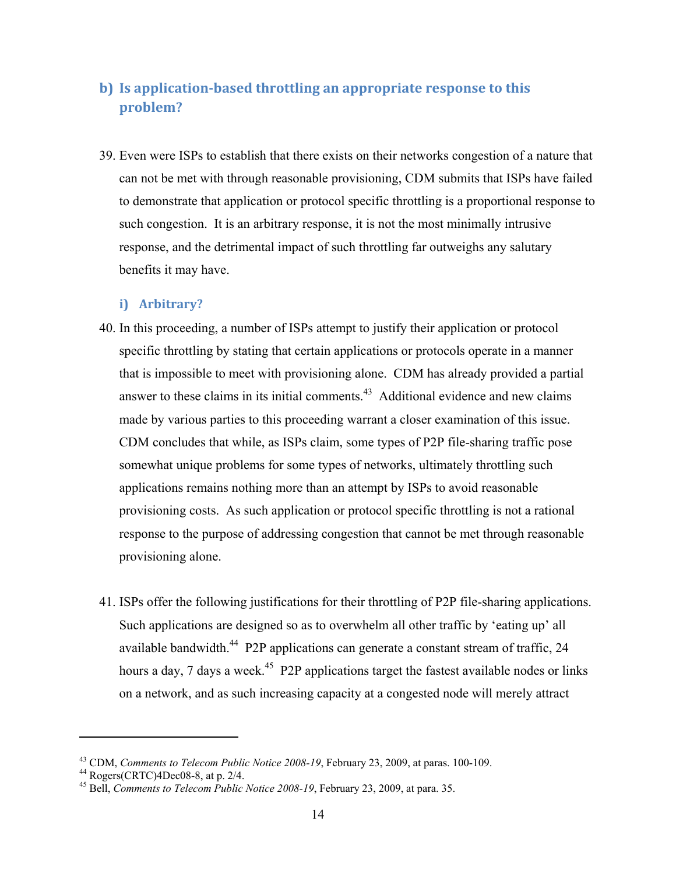## **b) Is application-based throttling an appropriate response to this problem?**

39. Even were ISPs to establish that there exists on their networks congestion of a nature that can not be met with through reasonable provisioning, CDM submits that ISPs have failed to demonstrate that application or protocol specific throttling is a proportional response to such congestion. It is an arbitrary response, it is not the most minimally intrusive response, and the detrimental impact of such throttling far outweighs any salutary benefits it may have.

#### **i) Arbitrary?**

- 40. In this proceeding, a number of ISPs attempt to justify their application or protocol specific throttling by stating that certain applications or protocols operate in a manner that is impossible to meet with provisioning alone. CDM has already provided a partial answer to these claims in its initial comments. $43$  Additional evidence and new claims made by various parties to this proceeding warrant a closer examination of this issue. CDM concludes that while, as ISPs claim, some types of P2P file-sharing traffic pose somewhat unique problems for some types of networks, ultimately throttling such applications remains nothing more than an attempt by ISPs to avoid reasonable provisioning costs. As such application or protocol specific throttling is not a rational response to the purpose of addressing congestion that cannot be met through reasonable provisioning alone.
- 41. ISPs offer the following justifications for their throttling of P2P file-sharing applications. Such applications are designed so as to overwhelm all other traffic by 'eating up' all available bandwidth.<sup>44</sup> P2P applications can generate a constant stream of traffic, 24 hours a day, 7 days a week.<sup>45</sup> P2P applications target the fastest available nodes or links on a network, and as such increasing capacity at a congested node will merely attract

<sup>&</sup>lt;sup>43</sup> CDM, *Comments to Telecom Public Notice 2008-19*, February 23, 2009, at paras. 100-109.<br><sup>44</sup> Rogers(CRTC)4Dec08-8, at p. 2/4.

<sup>45</sup> Bell, *Comments to Telecom Public Notice 2008-19*, February 23, 2009, at para. 35.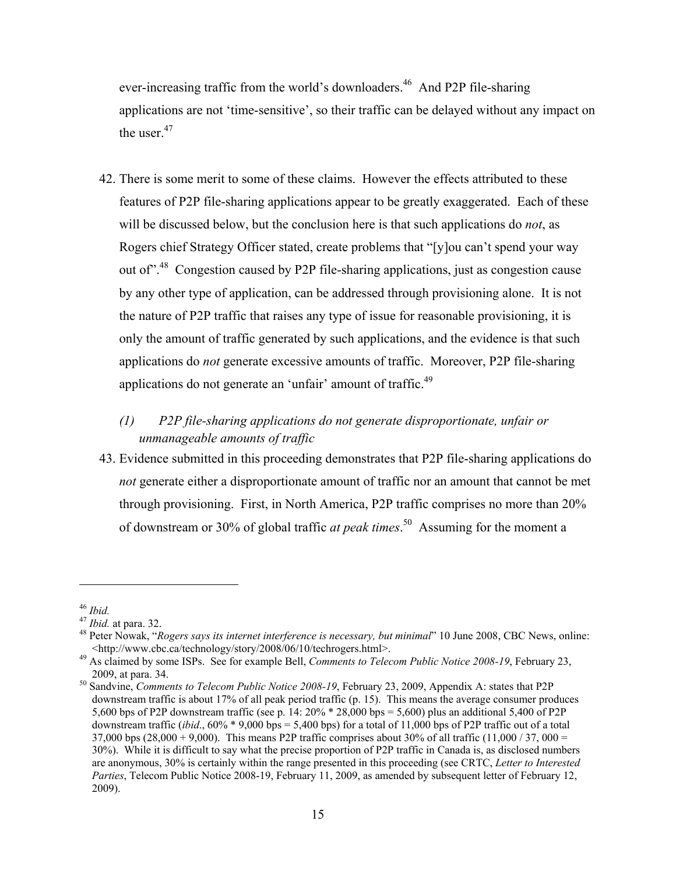ever-increasing traffic from the world's downloaders.<sup>46</sup> And P2P file-sharing applications are not 'time-sensitive', so their traffic can be delayed without any impact on the user. $47$ 

- 42. There is some merit to some of these claims. However the effects attributed to these features of P2P file-sharing applications appear to be greatly exaggerated. Each of these will be discussed below, but the conclusion here is that such applications do *not*, as Rogers chief Strategy Officer stated, create problems that "[y]ou can't spend your way out of".48 Congestion caused by P2P file-sharing applications, just as congestion cause by any other type of application, can be addressed through provisioning alone. It is not the nature of P2P traffic that raises any type of issue for reasonable provisioning, it is only the amount of traffic generated by such applications, and the evidence is that such applications do *not* generate excessive amounts of traffic. Moreover, P2P file-sharing applications do not generate an 'unfair' amount of traffic.<sup>49</sup>
	- *(1) P2P file-sharing applications do not generate disproportionate, unfair or unmanageable amounts of traffic*
- 43. Evidence submitted in this proceeding demonstrates that P2P file-sharing applications do *not* generate either a disproportionate amount of traffic nor an amount that cannot be met through provisioning. First, in North America, P2P traffic comprises no more than 20% of downstream or 30% of global traffic *at peak times*. 50 Assuming for the moment a

<sup>&</sup>lt;sup>46</sup> *Ibid.*<br><sup>47</sup> *Ibid.* at para. 32.<br><sup>48</sup> Peter Nowak, "*Rogers says its internet interference is necessary, but minimal*" 10 June 2008, CBC News, online: <http://www.cbc.ca/technology/story/2008/06/10/techrogers.html>. 49 As claimed by some ISPs. See for example Bell, *Comments to Telecom Public Notice 2008-19*, February 23,

<sup>2009,</sup> at para. 34. 50 Sandvine, *Comments to Telecom Public Notice 2008-19*, February 23, 2009, Appendix A: states that P2P

downstream traffic is about 17% of all peak period traffic (p. 15). This means the average consumer produces 5,600 bps of P2P downstream traffic (see p. 14: 20% \* 28,000 bps = 5,600) plus an additional 5,400 of P2P downstream traffic (*ibid.*,  $60\% * 9,000$  bps = 5,400 bps) for a total of 11,000 bps of P2P traffic out of a total 37,000 bps (28,000 + 9,000). This means P2P traffic comprises about 30% of all traffic (11,000 / 37, 000 = 30%). While it is difficult to say what the precise proportion of P2P traffic in Canada is, as disclosed numbers are anonymous, 30% is certainly within the range presented in this proceeding (see CRTC, *Letter to Interested Parties*, Telecom Public Notice 2008-19, February 11, 2009, as amended by subsequent letter of February 12, 2009).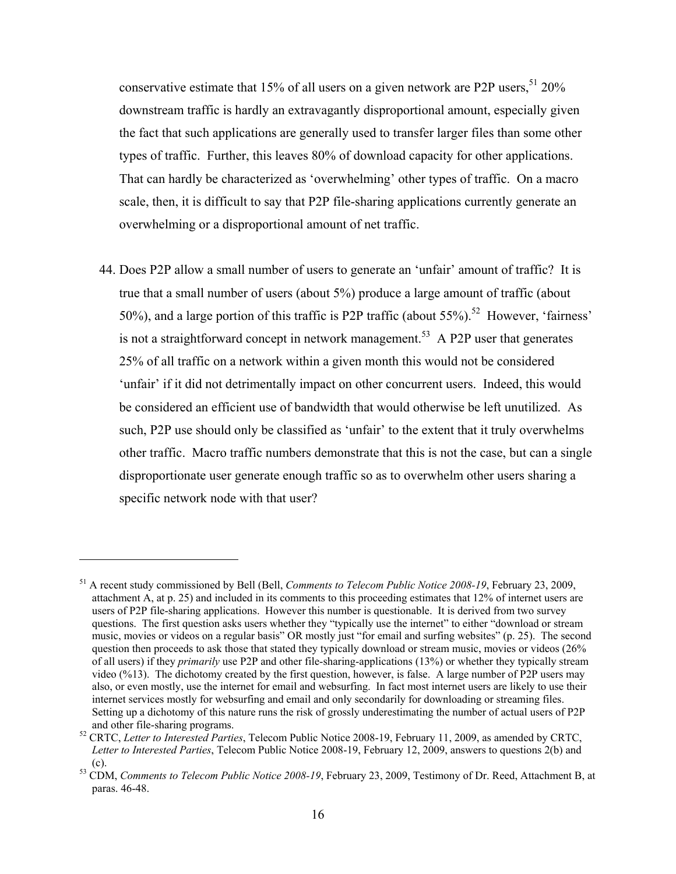conservative estimate that 15% of all users on a given network are P2P users,  $51\,20\%$ downstream traffic is hardly an extravagantly disproportional amount, especially given the fact that such applications are generally used to transfer larger files than some other types of traffic. Further, this leaves 80% of download capacity for other applications. That can hardly be characterized as 'overwhelming' other types of traffic. On a macro scale, then, it is difficult to say that P2P file-sharing applications currently generate an overwhelming or a disproportional amount of net traffic.

44. Does P2P allow a small number of users to generate an 'unfair' amount of traffic? It is true that a small number of users (about 5%) produce a large amount of traffic (about 50%), and a large portion of this traffic is P2P traffic (about  $55\%$ ).<sup>52</sup> However, 'fairness' is not a straightforward concept in network management.<sup>53</sup> A P2P user that generates 25% of all traffic on a network within a given month this would not be considered 'unfair' if it did not detrimentally impact on other concurrent users. Indeed, this would be considered an efficient use of bandwidth that would otherwise be left unutilized. As such, P2P use should only be classified as 'unfair' to the extent that it truly overwhelms other traffic. Macro traffic numbers demonstrate that this is not the case, but can a single disproportionate user generate enough traffic so as to overwhelm other users sharing a specific network node with that user?

<sup>51</sup> A recent study commissioned by Bell (Bell, *Comments to Telecom Public Notice 2008-19*, February 23, 2009, attachment A, at p. 25) and included in its comments to this proceeding estimates that 12% of internet users are users of P2P file-sharing applications. However this number is questionable. It is derived from two survey questions. The first question asks users whether they "typically use the internet" to either "download or stream music, movies or videos on a regular basis" OR mostly just "for email and surfing websites" (p. 25). The second question then proceeds to ask those that stated they typically download or stream music, movies or videos (26% of all users) if they *primarily* use P2P and other file-sharing-applications (13%) or whether they typically stream video (%13). The dichotomy created by the first question, however, is false. A large number of P2P users may also, or even mostly, use the internet for email and websurfing. In fact most internet users are likely to use their internet services mostly for websurfing and email and only secondarily for downloading or streaming files. Setting up a dichotomy of this nature runs the risk of grossly underestimating the number of actual users of P2P and other file-sharing programs. 52 CRTC, *Letter to Interested Parties*, Telecom Public Notice 2008-19, February 11, 2009, as amended by CRTC,

*Letter to Interested Parties*, Telecom Public Notice 2008-19, February 12, 2009, answers to questions 2(b) and

<sup>(</sup>c). 53 CDM, *Comments to Telecom Public Notice 2008-19*, February 23, 2009, Testimony of Dr. Reed, Attachment B, at paras. 46-48.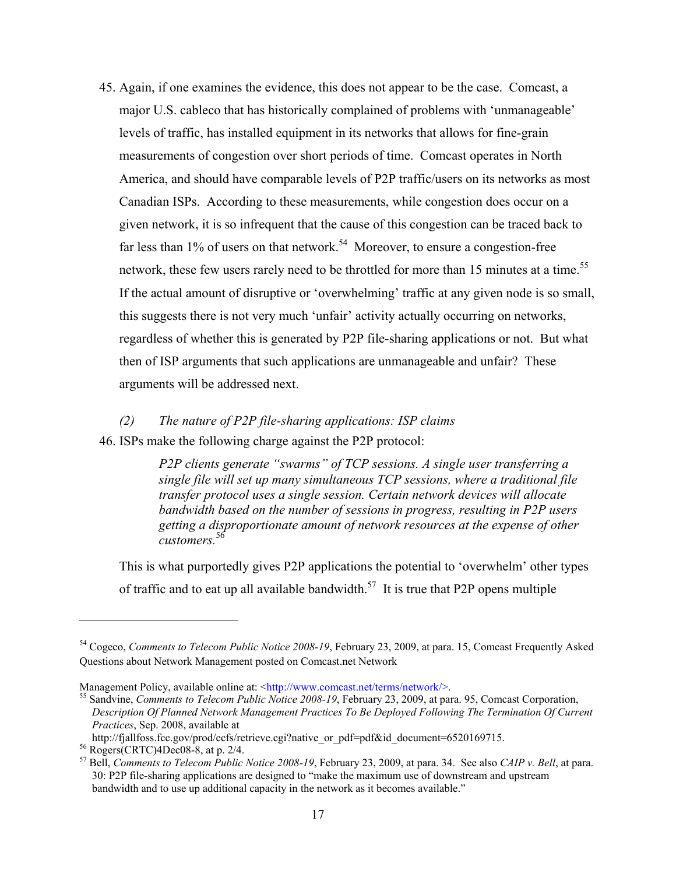45. Again, if one examines the evidence, this does not appear to be the case. Comcast, a major U.S. cableco that has historically complained of problems with 'unmanageable' levels of traffic, has installed equipment in its networks that allows for fine-grain measurements of congestion over short periods of time. Comcast operates in North America, and should have comparable levels of P2P traffic/users on its networks as most Canadian ISPs. According to these measurements, while congestion does occur on a given network, it is so infrequent that the cause of this congestion can be traced back to far less than  $1\%$  of users on that network.<sup>54</sup> Moreover, to ensure a congestion-free network, these few users rarely need to be throttled for more than 15 minutes at a time.<sup>55</sup> If the actual amount of disruptive or 'overwhelming' traffic at any given node is so small, this suggests there is not very much 'unfair' activity actually occurring on networks, regardless of whether this is generated by P2P file-sharing applications or not. But what then of ISP arguments that such applications are unmanageable and unfair? These arguments will be addressed next.

#### *(2) The nature of P2P file-sharing applications: ISP claims*

46. ISPs make the following charge against the P2P protocol:

*P2P clients generate "swarms" of TCP sessions. A single user transferring a single file will set up many simultaneous TCP sessions, where a traditional file transfer protocol uses a single session. Certain network devices will allocate bandwidth based on the number of sessions in progress, resulting in P2P users getting a disproportionate amount of network resources at the expense of other customers.*<sup>56</sup>

This is what purportedly gives P2P applications the potential to 'overwhelm' other types of traffic and to eat up all available bandwidth.<sup>57</sup> It is true that P2P opens multiple

<sup>54</sup> Cogeco, *Comments to Telecom Public Notice 2008-19*, February 23, 2009, at para. 15, Comcast Frequently Asked Questions about Network Management posted on Comcast.net Network

Management Policy, available online at: <http://www.comcast.net/terms/network/>.<br>
<sup>55</sup> Sandvine, *Comments to Telecom Public Notice 2008-19*, February 23, 2009, at para. 95, Comcast Corporation, *Description Of Planned Network Management Practices To Be Deployed Following The Termination Of Current Practices*, Sep. 2008, available at

http://fjallfoss.fcc.gov/prod/ecfs/retrieve.cgi?native\_or\_pdf=pdf&id\_document=6520169715. 56 Rogers(CRTC)4Dec08-8, at p. 2/4.

<sup>57</sup> Bell, *Comments to Telecom Public Notice 2008-19*, February 23, 2009, at para. 34. See also *CAIP v. Bell*, at para. 30: P2P file-sharing applications are designed to "make the maximum use of downstream and upstream bandwidth and to use up additional capacity in the network as it becomes available."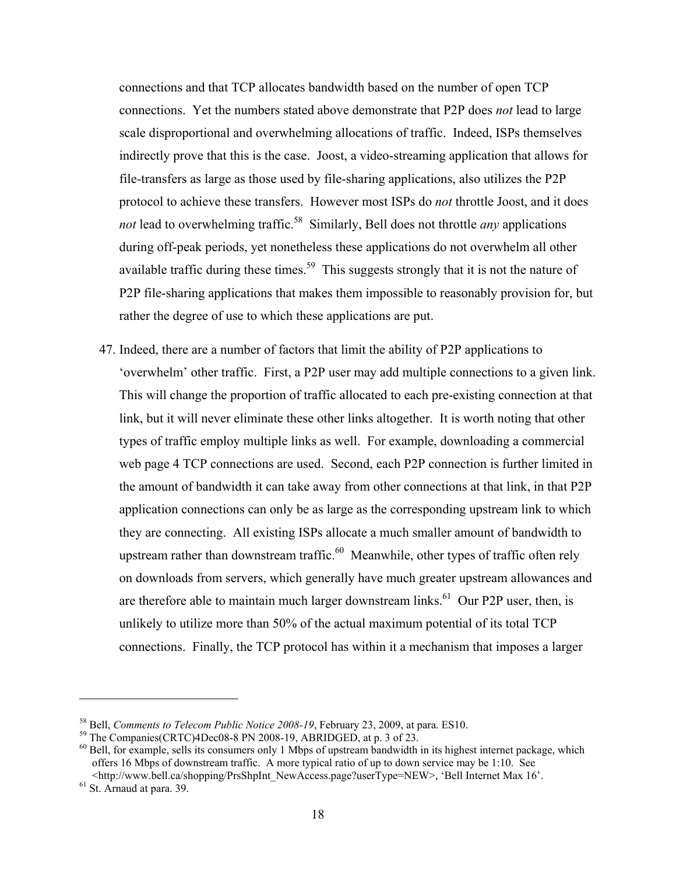connections and that TCP allocates bandwidth based on the number of open TCP connections. Yet the numbers stated above demonstrate that P2P does *not* lead to large scale disproportional and overwhelming allocations of traffic. Indeed, ISPs themselves indirectly prove that this is the case. Joost, a video-streaming application that allows for file-transfers as large as those used by file-sharing applications, also utilizes the P2P protocol to achieve these transfers. However most ISPs do *not* throttle Joost, and it does *not* lead to overwhelming traffic.<sup>58</sup> Similarly, Bell does not throttle *any* applications during off-peak periods, yet nonetheless these applications do not overwhelm all other available traffic during these times.<sup>59</sup> This suggests strongly that it is not the nature of P2P file-sharing applications that makes them impossible to reasonably provision for, but rather the degree of use to which these applications are put.

47. Indeed, there are a number of factors that limit the ability of P2P applications to 'overwhelm' other traffic. First, a P2P user may add multiple connections to a given link. This will change the proportion of traffic allocated to each pre-existing connection at that link, but it will never eliminate these other links altogether. It is worth noting that other types of traffic employ multiple links as well. For example, downloading a commercial web page 4 TCP connections are used. Second, each P2P connection is further limited in the amount of bandwidth it can take away from other connections at that link, in that P2P application connections can only be as large as the corresponding upstream link to which they are connecting. All existing ISPs allocate a much smaller amount of bandwidth to upstream rather than downstream traffic.<sup>60</sup> Meanwhile, other types of traffic often rely on downloads from servers, which generally have much greater upstream allowances and are therefore able to maintain much larger downstream links.<sup>61</sup> Our P2P user, then, is unlikely to utilize more than 50% of the actual maximum potential of its total TCP connections. Finally, the TCP protocol has within it a mechanism that imposes a larger

<sup>&</sup>lt;sup>58</sup> Bell, *Comments to Telecom Public Notice 2008-19*, February 23, 2009, at para. ES10.<br><sup>59</sup> The Companies(CRTC)4Dec08-8 PN 2008-19, ABRIDGED, at p. 3 of 23.

 $60$  Bell, for example, sells its consumers only 1 Mbps of upstream bandwidth in its highest internet package, which offers 16 Mbps of downstream traffic. A more typical ratio of up to down service may be 1:10. See

 $\leq$ http://www.bell.ca/shopping/PrsShpInt\_NewAccess.page?userType=NEW>, 'Bell Internet Max 16'. 61 St. Arnaud at para. 39.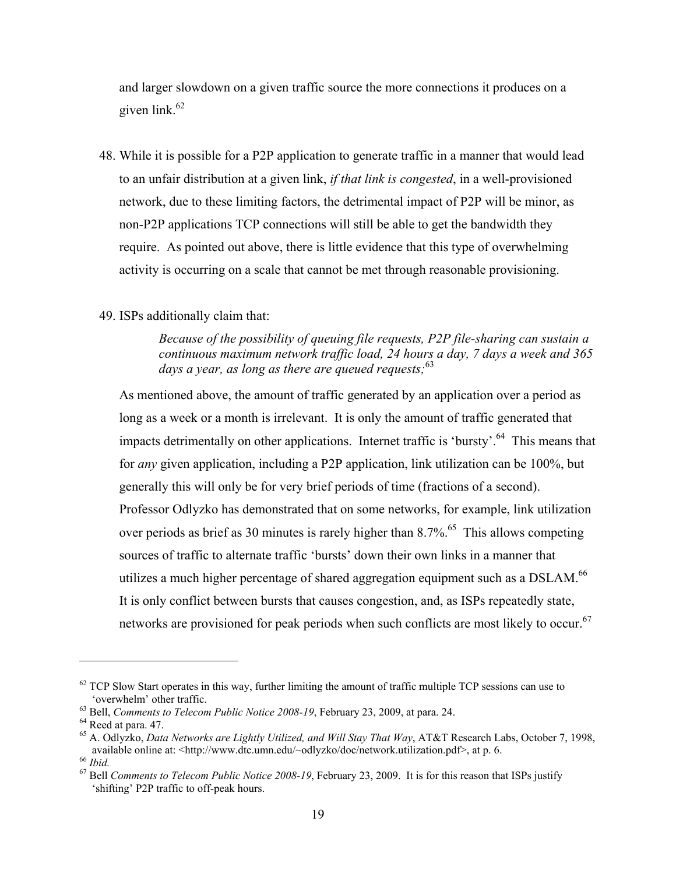and larger slowdown on a given traffic source the more connections it produces on a given  $\text{link}$ .<sup>62</sup>

48. While it is possible for a P2P application to generate traffic in a manner that would lead to an unfair distribution at a given link, *if that link is congested*, in a well-provisioned network, due to these limiting factors, the detrimental impact of P2P will be minor, as non-P2P applications TCP connections will still be able to get the bandwidth they require. As pointed out above, there is little evidence that this type of overwhelming activity is occurring on a scale that cannot be met through reasonable provisioning.

#### 49. ISPs additionally claim that:

*Because of the possibility of queuing file requests, P2P file-sharing can sustain a continuous maximum network traffic load, 24 hours a day, 7 days a week and 365*  days a year, as long as there are queued requests;<sup>63</sup>

As mentioned above, the amount of traffic generated by an application over a period as long as a week or a month is irrelevant. It is only the amount of traffic generated that impacts detrimentally on other applications. Internet traffic is 'bursty'.<sup>64</sup> This means that for *any* given application, including a P2P application, link utilization can be 100%, but generally this will only be for very brief periods of time (fractions of a second). Professor Odlyzko has demonstrated that on some networks, for example, link utilization over periods as brief as 30 minutes is rarely higher than  $8.7\%$ .<sup>65</sup> This allows competing sources of traffic to alternate traffic 'bursts' down their own links in a manner that utilizes a much higher percentage of shared aggregation equipment such as a DSLAM.<sup>66</sup> It is only conflict between bursts that causes congestion, and, as ISPs repeatedly state, networks are provisioned for peak periods when such conflicts are most likely to occur.<sup>67</sup>

 $62$  TCP Slow Start operates in this way, further limiting the amount of traffic multiple TCP sessions can use to 'overwhelm' other traffic. 63 Bell, *Comments to Telecom Public Notice 2008-19*, February 23, 2009, at para. 24. 64 Reed at para. 47.

<sup>&</sup>lt;sup>65</sup> A. Odlyzko, *Data Networks are Lightly Utilized, and Will Stay That Way*, AT&T Research Labs, October 7, 1998, available online at: <http://www.dtc.umn.edu/~odlyzko/doc/network.utilization.pdf>, at p. 6.

<sup>&</sup>lt;sup>66</sup> *Ibid.*<br><sup>67</sup> Bell Comments to Telecom Public Notice 2008-19, February 23, 2009. It is for this reason that ISPs justify 'shifting' P2P traffic to off-peak hours.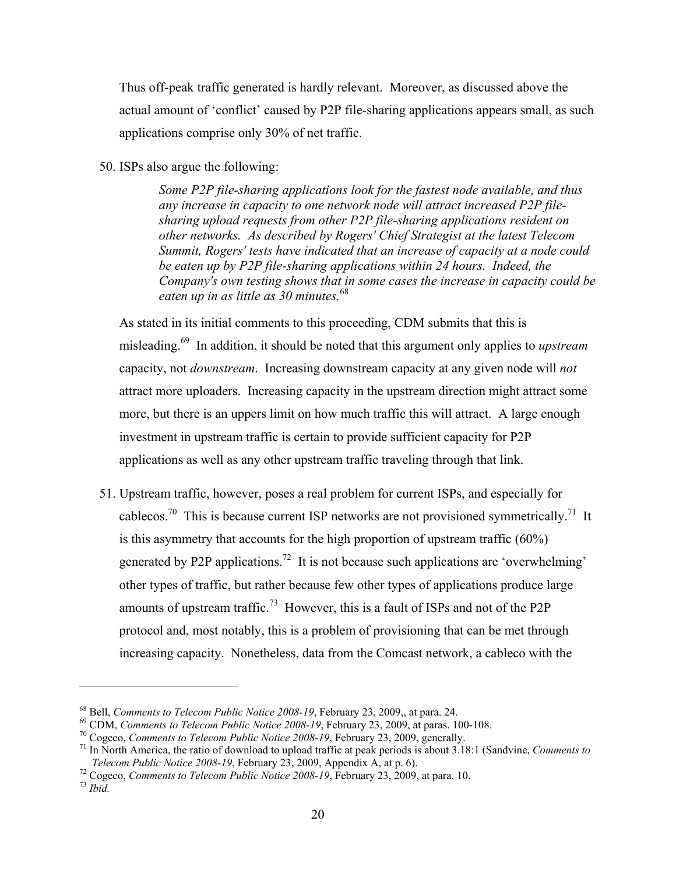Thus off-peak traffic generated is hardly relevant. Moreover, as discussed above the actual amount of 'conflict' caused by P2P file-sharing applications appears small, as such applications comprise only 30% of net traffic.

50. ISPs also argue the following:

*Some P2P file-sharing applications look for the fastest node available, and thus any increase in capacity to one network node will attract increased P2P filesharing upload requests from other P2P file-sharing applications resident on other networks. As described by Rogers' Chief Strategist at the latest Telecom Summit, Rogers' tests have indicated that an increase of capacity at a node could be eaten up by P2P file-sharing applications within 24 hours. Indeed, the Company's own testing shows that in some cases the increase in capacity could be eaten up in as little as 30 minutes.*<sup>68</sup>

As stated in its initial comments to this proceeding, CDM submits that this is misleading.69 In addition, it should be noted that this argument only applies to *upstream* capacity, not *downstream*. Increasing downstream capacity at any given node will *not* attract more uploaders. Increasing capacity in the upstream direction might attract some more, but there is an uppers limit on how much traffic this will attract. A large enough investment in upstream traffic is certain to provide sufficient capacity for P2P applications as well as any other upstream traffic traveling through that link.

51. Upstream traffic, however, poses a real problem for current ISPs, and especially for cablecos.<sup>70</sup> This is because current ISP networks are not provisioned symmetrically.<sup>71</sup> It is this asymmetry that accounts for the high proportion of upstream traffic (60%) generated by P2P applications.<sup>72</sup> It is not because such applications are 'overwhelming' other types of traffic, but rather because few other types of applications produce large amounts of upstream traffic.<sup>73</sup> However, this is a fault of ISPs and not of the P2P protocol and, most notably, this is a problem of provisioning that can be met through increasing capacity. Nonetheless, data from the Comcast network, a cableco with the

<sup>&</sup>lt;sup>68</sup> Bell, *Comments to Telecom Public Notice 2008-19*, February 23, 2009,, at para. 24.<br><sup>69</sup> CDM, *Comments to Telecom Public Notice 2008-19*, February 23, 2009, at paras. 100-108.<br><sup>70</sup> Cogeco, *Comments to Telecom Publi* 

<sup>&</sup>lt;sup>72</sup> Cogeco, *Comments to Telecom Public Notice 2008-19*, February 23, 2009, at para. 10. <sup>73</sup> *Ibid.*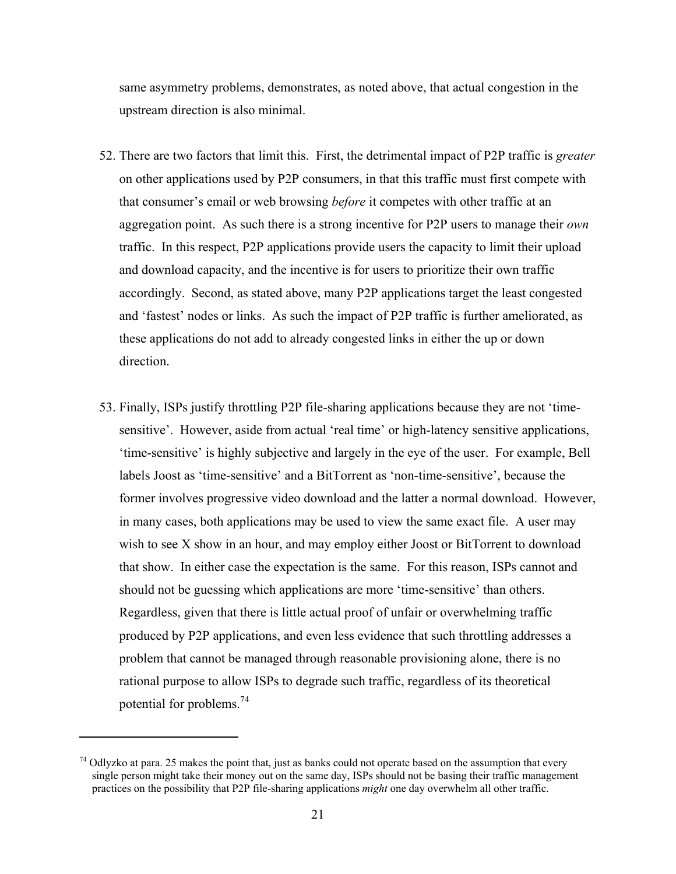same asymmetry problems, demonstrates, as noted above, that actual congestion in the upstream direction is also minimal.

- 52. There are two factors that limit this. First, the detrimental impact of P2P traffic is *greater* on other applications used by P2P consumers, in that this traffic must first compete with that consumer's email or web browsing *before* it competes with other traffic at an aggregation point. As such there is a strong incentive for P2P users to manage their *own*  traffic. In this respect, P2P applications provide users the capacity to limit their upload and download capacity, and the incentive is for users to prioritize their own traffic accordingly. Second, as stated above, many P2P applications target the least congested and 'fastest' nodes or links. As such the impact of P2P traffic is further ameliorated, as these applications do not add to already congested links in either the up or down direction.
- 53. Finally, ISPs justify throttling P2P file-sharing applications because they are not 'timesensitive'. However, aside from actual 'real time' or high-latency sensitive applications, 'time-sensitive' is highly subjective and largely in the eye of the user. For example, Bell labels Joost as 'time-sensitive' and a BitTorrent as 'non-time-sensitive', because the former involves progressive video download and the latter a normal download. However, in many cases, both applications may be used to view the same exact file. A user may wish to see X show in an hour, and may employ either Joost or BitTorrent to download that show. In either case the expectation is the same. For this reason, ISPs cannot and should not be guessing which applications are more 'time-sensitive' than others. Regardless, given that there is little actual proof of unfair or overwhelming traffic produced by P2P applications, and even less evidence that such throttling addresses a problem that cannot be managed through reasonable provisioning alone, there is no rational purpose to allow ISPs to degrade such traffic, regardless of its theoretical potential for problems.74

<sup>&</sup>lt;sup>74</sup> Odlyzko at para. 25 makes the point that, just as banks could not operate based on the assumption that every single person might take their money out on the same day, ISPs should not be basing their traffic management practices on the possibility that P2P file-sharing applications *might* one day overwhelm all other traffic.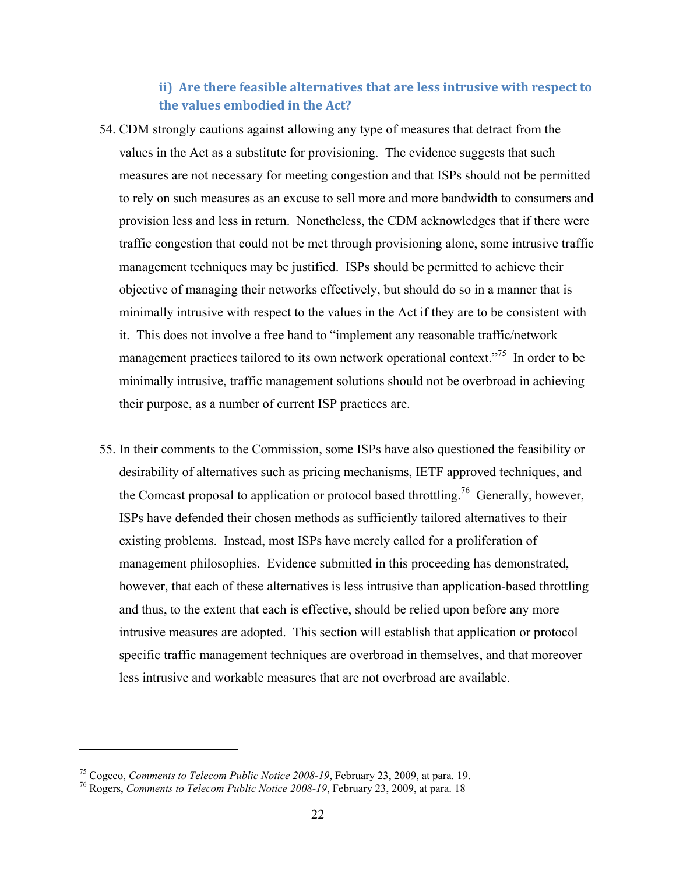### **ii) Are there feasible alternatives that are less intrusive with respect to the values embodied in the Act?**

- 54. CDM strongly cautions against allowing any type of measures that detract from the values in the Act as a substitute for provisioning. The evidence suggests that such measures are not necessary for meeting congestion and that ISPs should not be permitted to rely on such measures as an excuse to sell more and more bandwidth to consumers and provision less and less in return. Nonetheless, the CDM acknowledges that if there were traffic congestion that could not be met through provisioning alone, some intrusive traffic management techniques may be justified. ISPs should be permitted to achieve their objective of managing their networks effectively, but should do so in a manner that is minimally intrusive with respect to the values in the Act if they are to be consistent with it. This does not involve a free hand to "implement any reasonable traffic/network management practices tailored to its own network operational context."<sup>75</sup> In order to be minimally intrusive, traffic management solutions should not be overbroad in achieving their purpose, as a number of current ISP practices are.
- 55. In their comments to the Commission, some ISPs have also questioned the feasibility or desirability of alternatives such as pricing mechanisms, IETF approved techniques, and the Comcast proposal to application or protocol based throttling.<sup>76</sup> Generally, however, ISPs have defended their chosen methods as sufficiently tailored alternatives to their existing problems. Instead, most ISPs have merely called for a proliferation of management philosophies. Evidence submitted in this proceeding has demonstrated, however, that each of these alternatives is less intrusive than application-based throttling and thus, to the extent that each is effective, should be relied upon before any more intrusive measures are adopted. This section will establish that application or protocol specific traffic management techniques are overbroad in themselves, and that moreover less intrusive and workable measures that are not overbroad are available.

<sup>&</sup>lt;sup>75</sup> Cogeco, *Comments to Telecom Public Notice 2008-19*, February 23, 2009, at para. 19.<br><sup>76</sup> Rogers, *Comments to Telecom Public Notice 2008-19*, February 23, 2009, at para. 18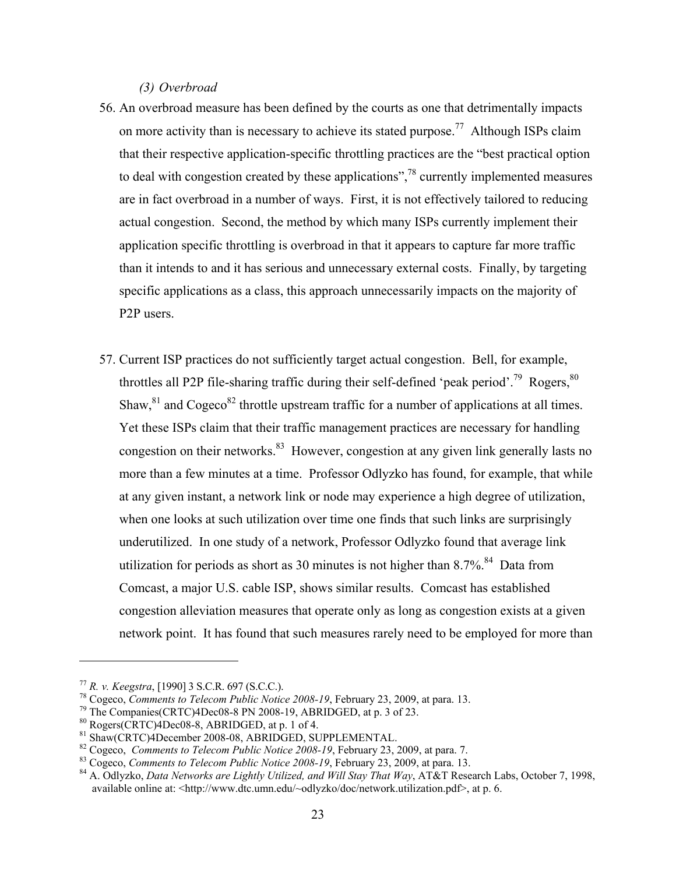*(3) Overbroad* 

- 56. An overbroad measure has been defined by the courts as one that detrimentally impacts on more activity than is necessary to achieve its stated purpose.<sup>77</sup> Although ISPs claim that their respective application-specific throttling practices are the "best practical option to deal with congestion created by these applications",<sup>78</sup> currently implemented measures are in fact overbroad in a number of ways. First, it is not effectively tailored to reducing actual congestion. Second, the method by which many ISPs currently implement their application specific throttling is overbroad in that it appears to capture far more traffic than it intends to and it has serious and unnecessary external costs. Finally, by targeting specific applications as a class, this approach unnecessarily impacts on the majority of P2P users.
- 57. Current ISP practices do not sufficiently target actual congestion. Bell, for example, throttles all P2P file-sharing traffic during their self-defined 'peak period'.<sup>79</sup> Rogers,  $80$ Shaw,  $81$  and Cogeco<sup>82</sup> throttle upstream traffic for a number of applications at all times. Yet these ISPs claim that their traffic management practices are necessary for handling congestion on their networks.<sup>83</sup> However, congestion at any given link generally lasts no more than a few minutes at a time. Professor Odlyzko has found, for example, that while at any given instant, a network link or node may experience a high degree of utilization, when one looks at such utilization over time one finds that such links are surprisingly underutilized. In one study of a network, Professor Odlyzko found that average link utilization for periods as short as 30 minutes is not higher than  $8.7\%$ .<sup>84</sup> Data from Comcast, a major U.S. cable ISP, shows similar results. Comcast has established congestion alleviation measures that operate only as long as congestion exists at a given network point. It has found that such measures rarely need to be employed for more than

<sup>&</sup>lt;sup>77</sup> *R. v. Keegstra*, [1990] 3 S.C.R. 697 (S.C.C.).<br><sup>78</sup> Cogeco, *Comments to Telecom Public Notice 2008-19*, February 23, 2009, at para. 13.<br><sup>79</sup> The Companies(CRTC)4Dec08-8 PN 2008-19, ABRIDGED, at p. 3 of 23.<br><sup>80</sup> Roge

<sup>&</sup>lt;sup>81</sup> Shaw(CRTC)4December 2008-08, ABRIDGED, SUPPLEMENTAL.<br><sup>82</sup> Cogeco, *Comments to Telecom Public Notice 2008-19*, February 23, 2009, at para. 7.

<sup>&</sup>lt;sup>83</sup> Cogeco, Comments to Telecom Public Notice 2008-19, February 23, 2009, at para. 13.<br><sup>84</sup> A. Odlyzko, *Data Networks are Lightly Utilized, and Will Stay That Way*, AT&T Research Labs, October 7, 1998, available online at: <http://www.dtc.umn.edu/~odlyzko/doc/network.utilization.pdf>, at p. 6.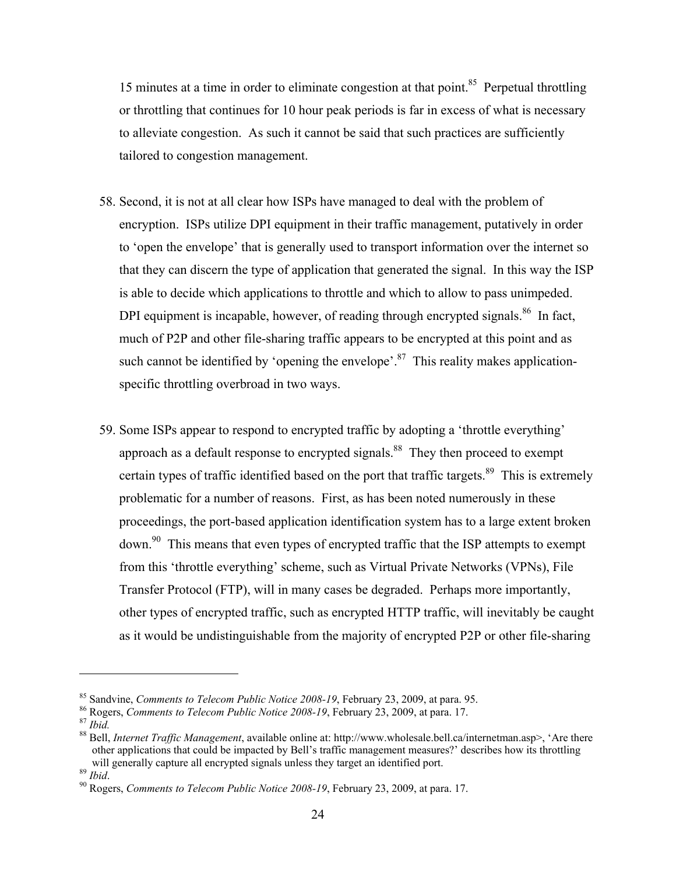15 minutes at a time in order to eliminate congestion at that point.<sup>85</sup> Perpetual throttling or throttling that continues for 10 hour peak periods is far in excess of what is necessary to alleviate congestion. As such it cannot be said that such practices are sufficiently tailored to congestion management.

- 58. Second, it is not at all clear how ISPs have managed to deal with the problem of encryption. ISPs utilize DPI equipment in their traffic management, putatively in order to 'open the envelope' that is generally used to transport information over the internet so that they can discern the type of application that generated the signal. In this way the ISP is able to decide which applications to throttle and which to allow to pass unimpeded. DPI equipment is incapable, however, of reading through encrypted signals.<sup>86</sup> In fact, much of P2P and other file-sharing traffic appears to be encrypted at this point and as such cannot be identified by 'opening the envelope'.<sup>87</sup> This reality makes applicationspecific throttling overbroad in two ways.
- 59. Some ISPs appear to respond to encrypted traffic by adopting a 'throttle everything' approach as a default response to encrypted signals.<sup>88</sup> They then proceed to exempt certain types of traffic identified based on the port that traffic targets.<sup>89</sup> This is extremely problematic for a number of reasons. First, as has been noted numerously in these proceedings, the port-based application identification system has to a large extent broken down.<sup>90</sup> This means that even types of encrypted traffic that the ISP attempts to exempt from this 'throttle everything' scheme, such as Virtual Private Networks (VPNs), File Transfer Protocol (FTP), will in many cases be degraded. Perhaps more importantly, other types of encrypted traffic, such as encrypted HTTP traffic, will inevitably be caught as it would be undistinguishable from the majority of encrypted P2P or other file-sharing

<sup>&</sup>lt;sup>85</sup> Sandvine, *Comments to Telecom Public Notice 2008-19*, February 23, 2009, at para. 95.<br><sup>86</sup> Rogers, *Comments to Telecom Public Notice 2008-19*, February 23, 2009, at para. 17.<br><sup>87</sup> *Ibid.*<br><sup>88</sup> Bell, *Internet Traff* 

other applications that could be impacted by Bell's traffic management measures?' describes how its throttling

will generally capture all encrypted signals under the gradient signals uncertainty and identified port. 89 *Ibid.* 90 Rogers, *Comments to Telecom Public Notice 2008-19*, February 23, 2009, at para. 17.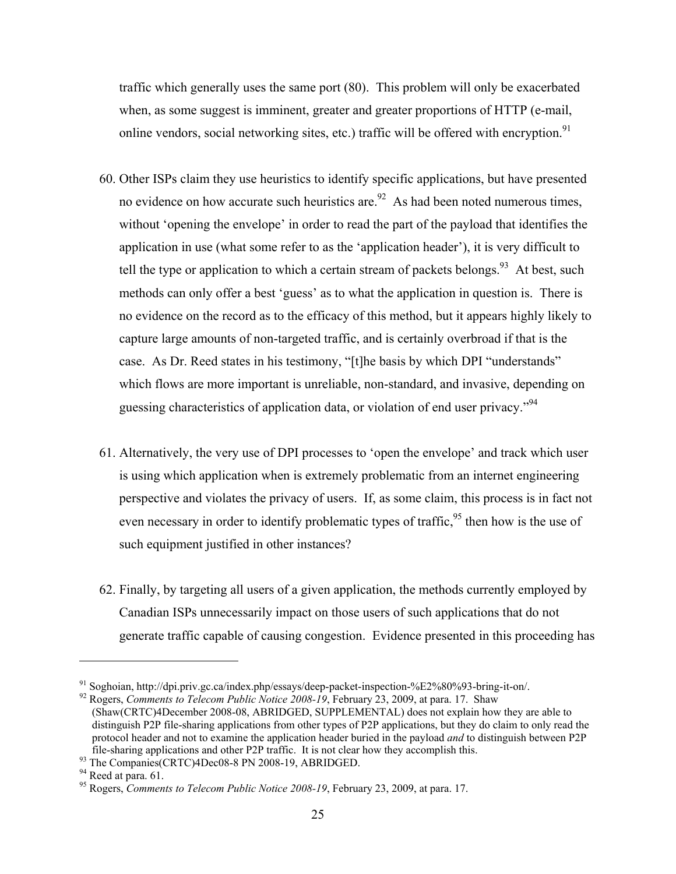traffic which generally uses the same port (80). This problem will only be exacerbated when, as some suggest is imminent, greater and greater proportions of HTTP (e-mail, online vendors, social networking sites, etc.) traffic will be offered with encryption.<sup>91</sup>

- 60. Other ISPs claim they use heuristics to identify specific applications, but have presented no evidence on how accurate such heuristics are. $92$  As had been noted numerous times, without 'opening the envelope' in order to read the part of the payload that identifies the application in use (what some refer to as the 'application header'), it is very difficult to tell the type or application to which a certain stream of packets belongs.<sup>93</sup> At best, such methods can only offer a best 'guess' as to what the application in question is. There is no evidence on the record as to the efficacy of this method, but it appears highly likely to capture large amounts of non-targeted traffic, and is certainly overbroad if that is the case. As Dr. Reed states in his testimony, "[t]he basis by which DPI "understands" which flows are more important is unreliable, non-standard, and invasive, depending on guessing characteristics of application data, or violation of end user privacy."94
- 61. Alternatively, the very use of DPI processes to 'open the envelope' and track which user is using which application when is extremely problematic from an internet engineering perspective and violates the privacy of users. If, as some claim, this process is in fact not even necessary in order to identify problematic types of traffic,  $95$  then how is the use of such equipment justified in other instances?
- 62. Finally, by targeting all users of a given application, the methods currently employed by Canadian ISPs unnecessarily impact on those users of such applications that do not generate traffic capable of causing congestion. Evidence presented in this proceeding has

<sup>&</sup>lt;sup>91</sup> Soghoian, http://dpi.priv.gc.ca/index.php/essays/deep-packet-inspection-%E2%80%93-bring-it-on/.

<sup>92</sup> Rogers, *Comments to Telecom Public Notice 2008-19*, February 23, 2009, at para. 17. Shaw (Shaw(CRTC)4December 2008-08, ABRIDGED, SUPPLEMENTAL) does not explain how they are able to distinguish P2P file-sharing applications from other types of P2P applications, but they do claim to only read the protocol header and not to examine the application header buried in the payload *and* to distinguish between P2P file-sharing applications and other P2P traffic. It is not clear how they accomplish this. 93 The Companies(CRTC)4Dec08-8 PN 2008-19, ABRIDGED. 94 Reed at para. 61.

<sup>95</sup> Rogers, *Comments to Telecom Public Notice 2008-19*, February 23, 2009, at para. 17.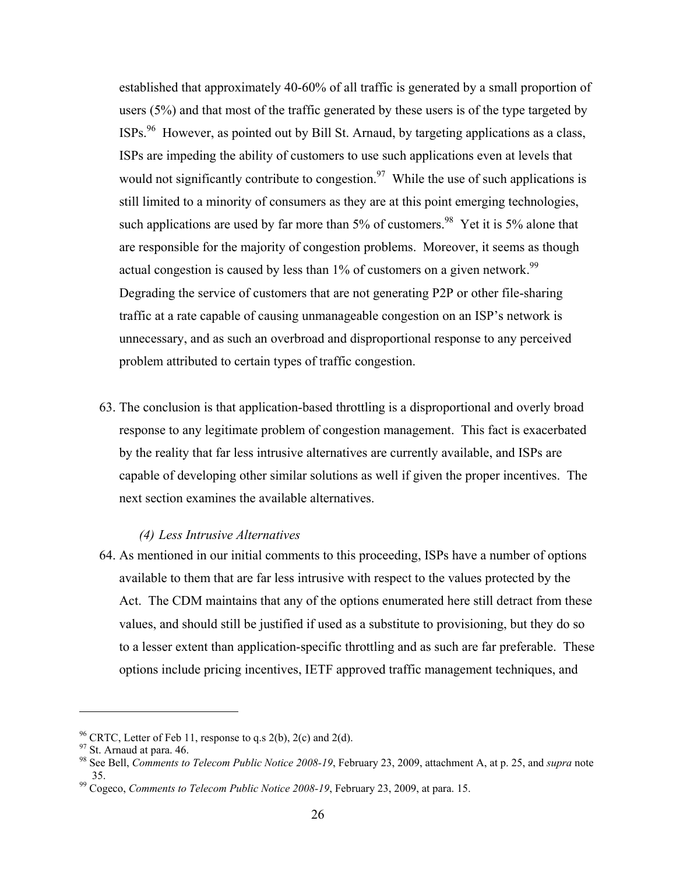established that approximately 40-60% of all traffic is generated by a small proportion of users (5%) and that most of the traffic generated by these users is of the type targeted by ISPs.96 However, as pointed out by Bill St. Arnaud, by targeting applications as a class, ISPs are impeding the ability of customers to use such applications even at levels that would not significantly contribute to congestion.<sup>97</sup> While the use of such applications is still limited to a minority of consumers as they are at this point emerging technologies, such applications are used by far more than  $5\%$  of customers.<sup>98</sup> Yet it is  $5\%$  alone that are responsible for the majority of congestion problems. Moreover, it seems as though actual congestion is caused by less than  $1\%$  of customers on a given network.<sup>99</sup> Degrading the service of customers that are not generating P2P or other file-sharing traffic at a rate capable of causing unmanageable congestion on an ISP's network is unnecessary, and as such an overbroad and disproportional response to any perceived problem attributed to certain types of traffic congestion.

63. The conclusion is that application-based throttling is a disproportional and overly broad response to any legitimate problem of congestion management. This fact is exacerbated by the reality that far less intrusive alternatives are currently available, and ISPs are capable of developing other similar solutions as well if given the proper incentives. The next section examines the available alternatives.

#### *(4) Less Intrusive Alternatives*

64. As mentioned in our initial comments to this proceeding, ISPs have a number of options available to them that are far less intrusive with respect to the values protected by the Act. The CDM maintains that any of the options enumerated here still detract from these values, and should still be justified if used as a substitute to provisioning, but they do so to a lesser extent than application-specific throttling and as such are far preferable. These options include pricing incentives, IETF approved traffic management techniques, and

<sup>&</sup>lt;sup>96</sup> CRTC, Letter of Feb 11, response to q.s  $2(b)$ ,  $2(c)$  and  $2(d)$ .

<sup>&</sup>lt;sup>97</sup> St. Arnaud at para. 46.

<sup>98</sup> See Bell, *Comments to Telecom Public Notice 2008-19*, February 23, 2009, attachment A, at p. 25, and *supra* note 35. 99 Cogeco, *Comments to Telecom Public Notice 2008-19*, February 23, 2009, at para. 15.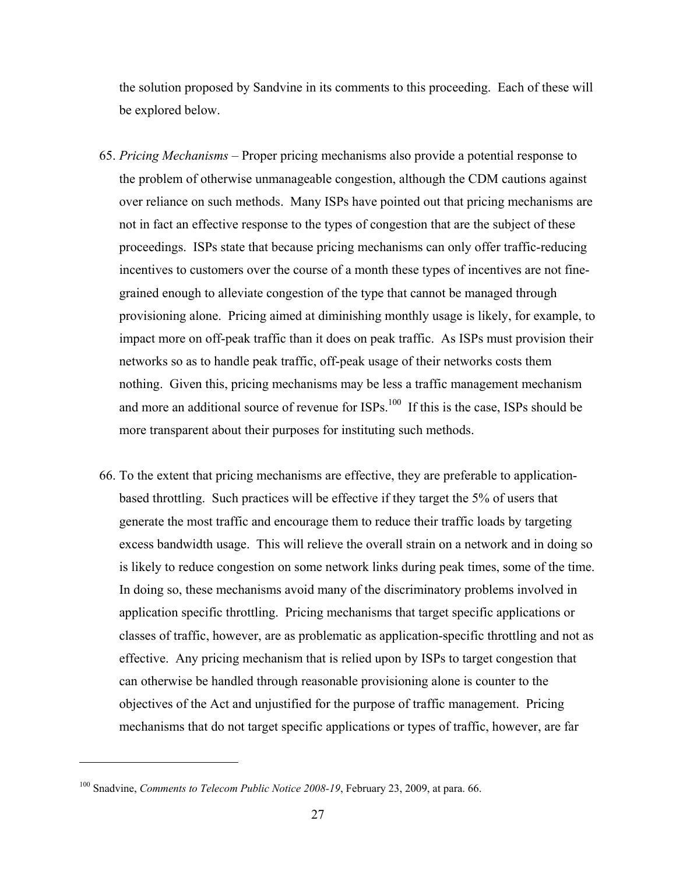the solution proposed by Sandvine in its comments to this proceeding. Each of these will be explored below.

- 65. *Pricing Mechanisms* Proper pricing mechanisms also provide a potential response to the problem of otherwise unmanageable congestion, although the CDM cautions against over reliance on such methods. Many ISPs have pointed out that pricing mechanisms are not in fact an effective response to the types of congestion that are the subject of these proceedings. ISPs state that because pricing mechanisms can only offer traffic-reducing incentives to customers over the course of a month these types of incentives are not finegrained enough to alleviate congestion of the type that cannot be managed through provisioning alone. Pricing aimed at diminishing monthly usage is likely, for example, to impact more on off-peak traffic than it does on peak traffic. As ISPs must provision their networks so as to handle peak traffic, off-peak usage of their networks costs them nothing. Given this, pricing mechanisms may be less a traffic management mechanism and more an additional source of revenue for ISPs.<sup>100</sup> If this is the case, ISPs should be more transparent about their purposes for instituting such methods.
- 66. To the extent that pricing mechanisms are effective, they are preferable to applicationbased throttling. Such practices will be effective if they target the 5% of users that generate the most traffic and encourage them to reduce their traffic loads by targeting excess bandwidth usage. This will relieve the overall strain on a network and in doing so is likely to reduce congestion on some network links during peak times, some of the time. In doing so, these mechanisms avoid many of the discriminatory problems involved in application specific throttling. Pricing mechanisms that target specific applications or classes of traffic, however, are as problematic as application-specific throttling and not as effective. Any pricing mechanism that is relied upon by ISPs to target congestion that can otherwise be handled through reasonable provisioning alone is counter to the objectives of the Act and unjustified for the purpose of traffic management. Pricing mechanisms that do not target specific applications or types of traffic, however, are far

<sup>&</sup>lt;sup>100</sup> Snadvine, *Comments to Telecom Public Notice 2008-19*, February 23, 2009, at para. 66.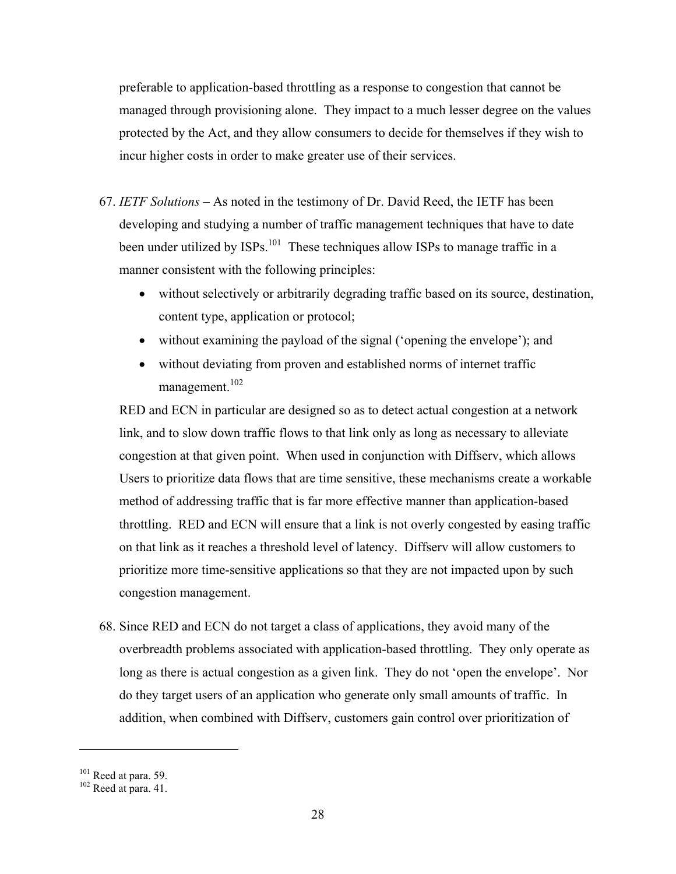preferable to application-based throttling as a response to congestion that cannot be managed through provisioning alone. They impact to a much lesser degree on the values protected by the Act, and they allow consumers to decide for themselves if they wish to incur higher costs in order to make greater use of their services.

- 67. *IETF Solutions* As noted in the testimony of Dr. David Reed, the IETF has been developing and studying a number of traffic management techniques that have to date been under utilized by ISPs.<sup>101</sup> These techniques allow ISPs to manage traffic in a manner consistent with the following principles:
	- without selectively or arbitrarily degrading traffic based on its source, destination, content type, application or protocol;
	- without examining the payload of the signal ('opening the envelope'); and
	- without deviating from proven and established norms of internet traffic management.<sup>102</sup>

RED and ECN in particular are designed so as to detect actual congestion at a network link, and to slow down traffic flows to that link only as long as necessary to alleviate congestion at that given point. When used in conjunction with Diffserv, which allows Users to prioritize data flows that are time sensitive, these mechanisms create a workable method of addressing traffic that is far more effective manner than application-based throttling. RED and ECN will ensure that a link is not overly congested by easing traffic on that link as it reaches a threshold level of latency. Diffserv will allow customers to prioritize more time-sensitive applications so that they are not impacted upon by such congestion management.

68. Since RED and ECN do not target a class of applications, they avoid many of the overbreadth problems associated with application-based throttling. They only operate as long as there is actual congestion as a given link. They do not 'open the envelope'. Nor do they target users of an application who generate only small amounts of traffic. In addition, when combined with Diffserv, customers gain control over prioritization of

 $101$  Reed at para. 59.<br> $102$  Reed at para. 41.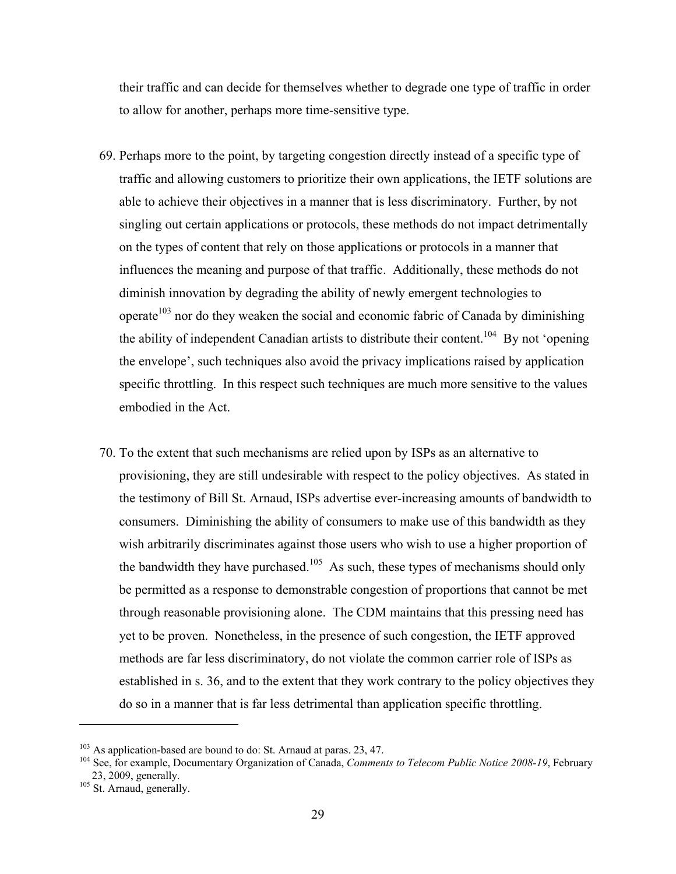their traffic and can decide for themselves whether to degrade one type of traffic in order to allow for another, perhaps more time-sensitive type.

- 69. Perhaps more to the point, by targeting congestion directly instead of a specific type of traffic and allowing customers to prioritize their own applications, the IETF solutions are able to achieve their objectives in a manner that is less discriminatory. Further, by not singling out certain applications or protocols, these methods do not impact detrimentally on the types of content that rely on those applications or protocols in a manner that influences the meaning and purpose of that traffic. Additionally, these methods do not diminish innovation by degrading the ability of newly emergent technologies to operate<sup>103</sup> nor do they weaken the social and economic fabric of Canada by diminishing the ability of independent Canadian artists to distribute their content.<sup>104</sup> By not 'opening the envelope', such techniques also avoid the privacy implications raised by application specific throttling. In this respect such techniques are much more sensitive to the values embodied in the Act.
- 70. To the extent that such mechanisms are relied upon by ISPs as an alternative to provisioning, they are still undesirable with respect to the policy objectives. As stated in the testimony of Bill St. Arnaud, ISPs advertise ever-increasing amounts of bandwidth to consumers. Diminishing the ability of consumers to make use of this bandwidth as they wish arbitrarily discriminates against those users who wish to use a higher proportion of the bandwidth they have purchased.<sup>105</sup> As such, these types of mechanisms should only be permitted as a response to demonstrable congestion of proportions that cannot be met through reasonable provisioning alone. The CDM maintains that this pressing need has yet to be proven. Nonetheless, in the presence of such congestion, the IETF approved methods are far less discriminatory, do not violate the common carrier role of ISPs as established in s. 36, and to the extent that they work contrary to the policy objectives they do so in a manner that is far less detrimental than application specific throttling.

<u>.</u>

<sup>&</sup>lt;sup>103</sup> As application-based are bound to do: St. Arnaud at paras. 23, 47.<br><sup>104</sup> See, for example, Documentary Organization of Canada, *Comments to Telecom Public Notice 2008-19*, February  $23, 2009$ , generally.<br><sup>105</sup> St. Arnaud, generally.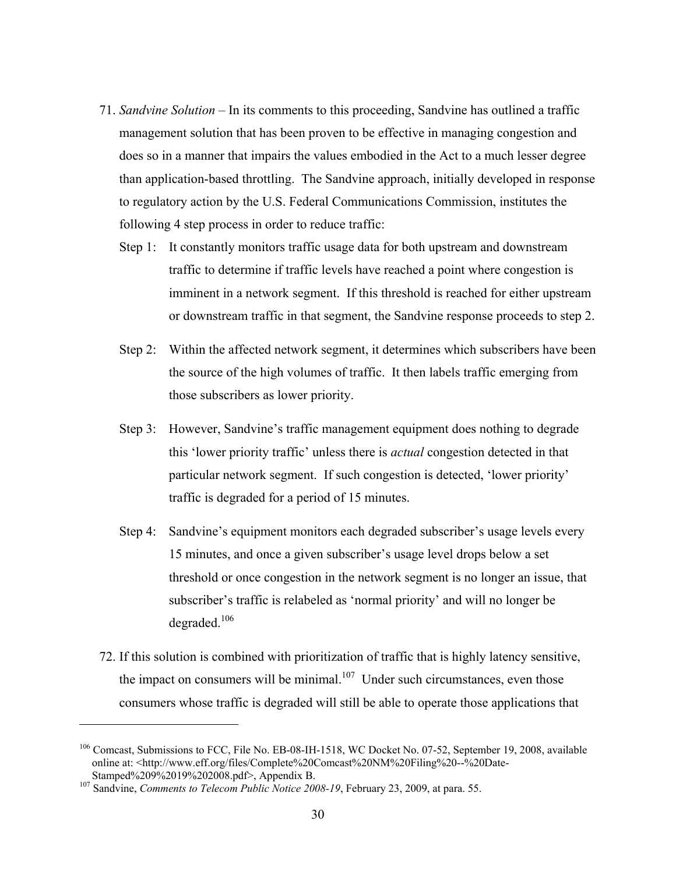- 71. *Sandvine Solution* In its comments to this proceeding, Sandvine has outlined a traffic management solution that has been proven to be effective in managing congestion and does so in a manner that impairs the values embodied in the Act to a much lesser degree than application-based throttling. The Sandvine approach, initially developed in response to regulatory action by the U.S. Federal Communications Commission, institutes the following 4 step process in order to reduce traffic:
	- Step 1: It constantly monitors traffic usage data for both upstream and downstream traffic to determine if traffic levels have reached a point where congestion is imminent in a network segment. If this threshold is reached for either upstream or downstream traffic in that segment, the Sandvine response proceeds to step 2.
	- Step 2: Within the affected network segment, it determines which subscribers have been the source of the high volumes of traffic. It then labels traffic emerging from those subscribers as lower priority.
	- Step 3: However, Sandvine's traffic management equipment does nothing to degrade this 'lower priority traffic' unless there is *actual* congestion detected in that particular network segment. If such congestion is detected, 'lower priority' traffic is degraded for a period of 15 minutes.
	- Step 4: Sandvine's equipment monitors each degraded subscriber's usage levels every 15 minutes, and once a given subscriber's usage level drops below a set threshold or once congestion in the network segment is no longer an issue, that subscriber's traffic is relabeled as 'normal priority' and will no longer be degraded.<sup>106</sup>
- 72. If this solution is combined with prioritization of traffic that is highly latency sensitive, the impact on consumers will be minimal.<sup>107</sup> Under such circumstances, even those consumers whose traffic is degraded will still be able to operate those applications that

<sup>&</sup>lt;sup>106</sup> Comcast, Submissions to FCC, File No. EB-08-IH-1518, WC Docket No. 07-52, September 19, 2008, available online at: <http://www.eff.org/files/Complete%20Comcast%20NM%20Filing%20--%20Date-

Stamped%209%2019%202008.pdf>, Appendix B. 107 Sandvine, *Comments to Telecom Public Notice 2008-19*, February 23, 2009, at para. 55.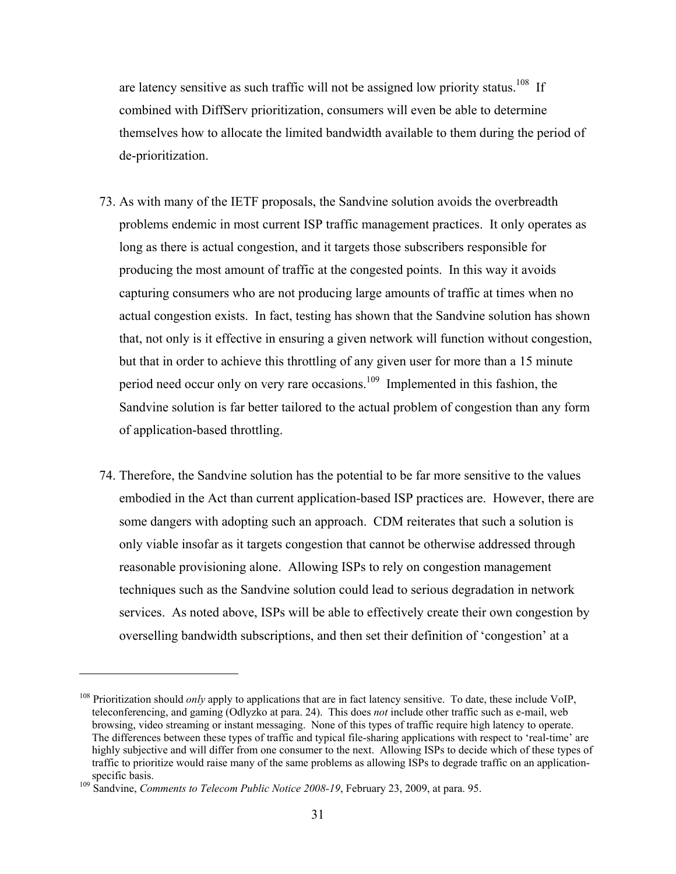are latency sensitive as such traffic will not be assigned low priority status.<sup>108</sup> If combined with DiffServ prioritization, consumers will even be able to determine themselves how to allocate the limited bandwidth available to them during the period of de-prioritization.

- 73. As with many of the IETF proposals, the Sandvine solution avoids the overbreadth problems endemic in most current ISP traffic management practices. It only operates as long as there is actual congestion, and it targets those subscribers responsible for producing the most amount of traffic at the congested points. In this way it avoids capturing consumers who are not producing large amounts of traffic at times when no actual congestion exists. In fact, testing has shown that the Sandvine solution has shown that, not only is it effective in ensuring a given network will function without congestion, but that in order to achieve this throttling of any given user for more than a 15 minute period need occur only on very rare occasions.109 Implemented in this fashion, the Sandvine solution is far better tailored to the actual problem of congestion than any form of application-based throttling.
- 74. Therefore, the Sandvine solution has the potential to be far more sensitive to the values embodied in the Act than current application-based ISP practices are. However, there are some dangers with adopting such an approach. CDM reiterates that such a solution is only viable insofar as it targets congestion that cannot be otherwise addressed through reasonable provisioning alone. Allowing ISPs to rely on congestion management techniques such as the Sandvine solution could lead to serious degradation in network services. As noted above, ISPs will be able to effectively create their own congestion by overselling bandwidth subscriptions, and then set their definition of 'congestion' at a

<sup>108</sup> Prioritization should *only* apply to applications that are in fact latency sensitive. To date, these include VoIP, teleconferencing, and gaming (Odlyzko at para. 24). This does *not* include other traffic such as e-mail, web browsing, video streaming or instant messaging. None of this types of traffic require high latency to operate. The differences between these types of traffic and typical file-sharing applications with respect to 'real-time' are highly subjective and will differ from one consumer to the next. Allowing ISPs to decide which of these types of traffic to prioritize would raise many of the same problems as allowing ISPs to degrade traffic on an applicationspecific basis.<br><sup>109</sup> Sandvine, *Comments to Telecom Public Notice 2008-19*, February 23, 2009, at para. 95.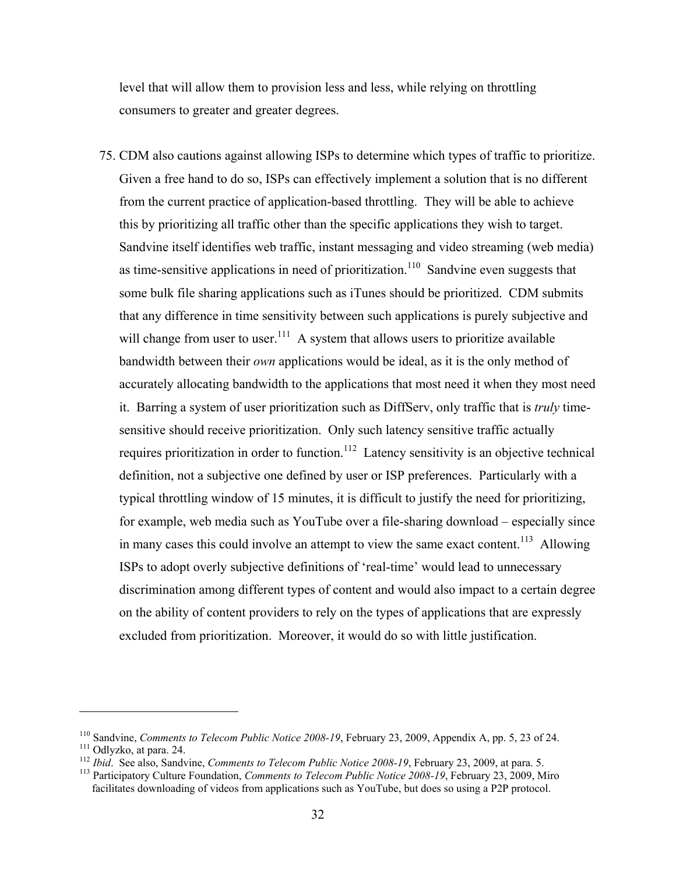level that will allow them to provision less and less, while relying on throttling consumers to greater and greater degrees.

75. CDM also cautions against allowing ISPs to determine which types of traffic to prioritize. Given a free hand to do so, ISPs can effectively implement a solution that is no different from the current practice of application-based throttling. They will be able to achieve this by prioritizing all traffic other than the specific applications they wish to target. Sandvine itself identifies web traffic, instant messaging and video streaming (web media) as time-sensitive applications in need of prioritization.<sup>110</sup> Sandvine even suggests that some bulk file sharing applications such as iTunes should be prioritized. CDM submits that any difference in time sensitivity between such applications is purely subjective and will change from user to user.<sup>111</sup> A system that allows users to prioritize available bandwidth between their *own* applications would be ideal, as it is the only method of accurately allocating bandwidth to the applications that most need it when they most need it. Barring a system of user prioritization such as DiffServ, only traffic that is *truly* timesensitive should receive prioritization. Only such latency sensitive traffic actually requires prioritization in order to function.<sup>112</sup> Latency sensitivity is an objective technical definition, not a subjective one defined by user or ISP preferences. Particularly with a typical throttling window of 15 minutes, it is difficult to justify the need for prioritizing, for example, web media such as YouTube over a file-sharing download – especially since in many cases this could involve an attempt to view the same exact content.<sup>113</sup> Allowing ISPs to adopt overly subjective definitions of 'real-time' would lead to unnecessary discrimination among different types of content and would also impact to a certain degree on the ability of content providers to rely on the types of applications that are expressly excluded from prioritization. Moreover, it would do so with little justification.

<sup>&</sup>lt;sup>110</sup> Sandvine, *Comments to Telecom Public Notice 2008-19*, February 23, 2009, Appendix A, pp. 5, 23 of 24.<br><sup>111</sup> Odlyzko, at para. 24.<br><sup>112</sup> *Ibid.* See also, Sandvine, *Comments to Telecom Public Notice 2008-19*, Febru

facilitates downloading of videos from applications such as YouTube, but does so using a P2P protocol.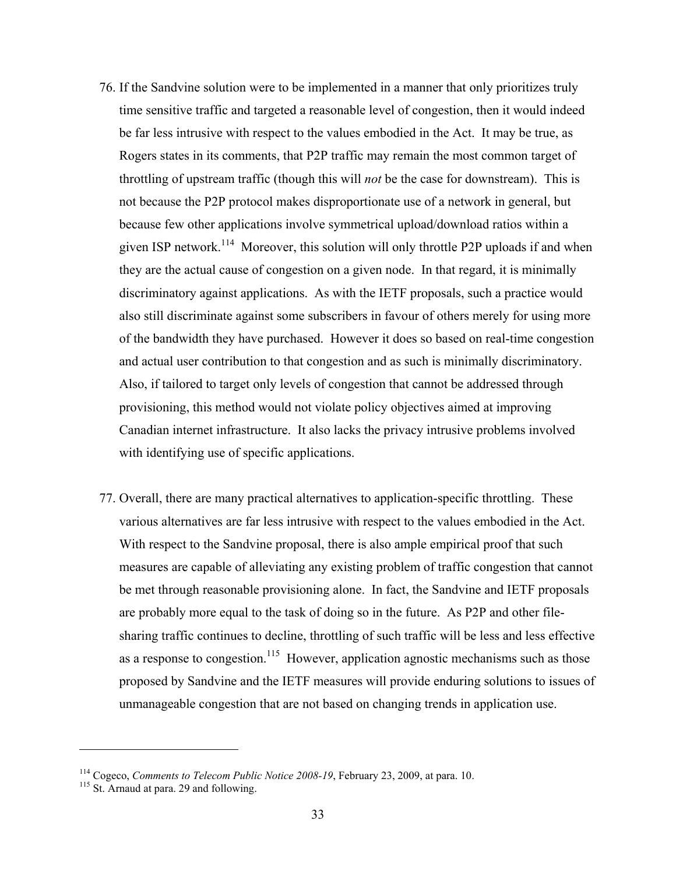- 76. If the Sandvine solution were to be implemented in a manner that only prioritizes truly time sensitive traffic and targeted a reasonable level of congestion, then it would indeed be far less intrusive with respect to the values embodied in the Act. It may be true, as Rogers states in its comments, that P2P traffic may remain the most common target of throttling of upstream traffic (though this will *not* be the case for downstream). This is not because the P2P protocol makes disproportionate use of a network in general, but because few other applications involve symmetrical upload/download ratios within a given ISP network.<sup>114</sup> Moreover, this solution will only throttle P2P uploads if and when they are the actual cause of congestion on a given node. In that regard, it is minimally discriminatory against applications. As with the IETF proposals, such a practice would also still discriminate against some subscribers in favour of others merely for using more of the bandwidth they have purchased. However it does so based on real-time congestion and actual user contribution to that congestion and as such is minimally discriminatory. Also, if tailored to target only levels of congestion that cannot be addressed through provisioning, this method would not violate policy objectives aimed at improving Canadian internet infrastructure. It also lacks the privacy intrusive problems involved with identifying use of specific applications.
- 77. Overall, there are many practical alternatives to application-specific throttling. These various alternatives are far less intrusive with respect to the values embodied in the Act. With respect to the Sandvine proposal, there is also ample empirical proof that such measures are capable of alleviating any existing problem of traffic congestion that cannot be met through reasonable provisioning alone. In fact, the Sandvine and IETF proposals are probably more equal to the task of doing so in the future. As P2P and other filesharing traffic continues to decline, throttling of such traffic will be less and less effective as a response to congestion.<sup>115</sup> However, application agnostic mechanisms such as those proposed by Sandvine and the IETF measures will provide enduring solutions to issues of unmanageable congestion that are not based on changing trends in application use.

<sup>&</sup>lt;sup>114</sup> Cogeco, *Comments to Telecom Public Notice 2008-19*, February 23, 2009, at para. 10.<br><sup>115</sup> St. Arnaud at para. 29 and following.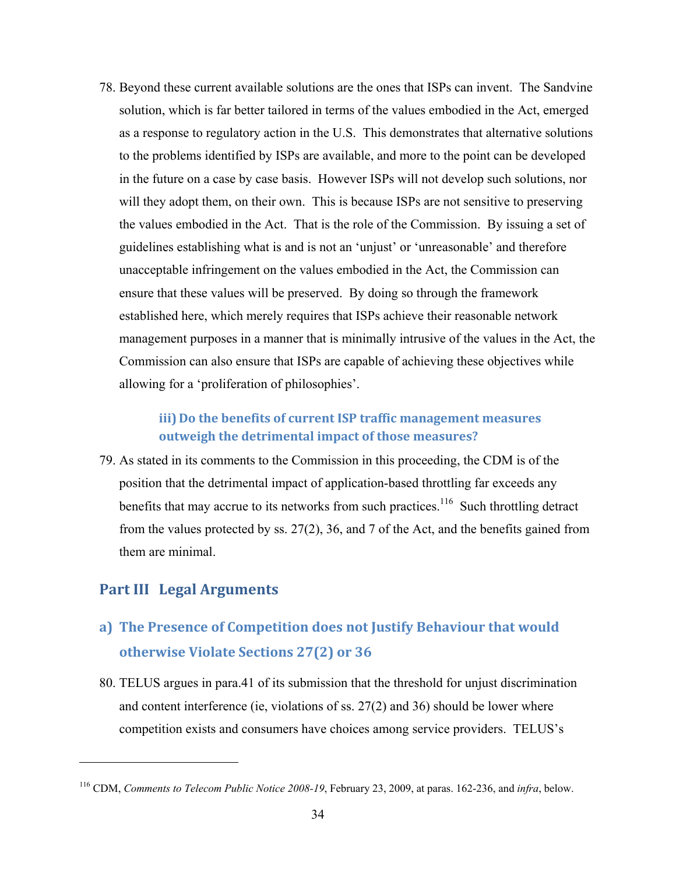78. Beyond these current available solutions are the ones that ISPs can invent. The Sandvine solution, which is far better tailored in terms of the values embodied in the Act, emerged as a response to regulatory action in the U.S. This demonstrates that alternative solutions to the problems identified by ISPs are available, and more to the point can be developed in the future on a case by case basis. However ISPs will not develop such solutions, nor will they adopt them, on their own. This is because ISPs are not sensitive to preserving the values embodied in the Act. That is the role of the Commission. By issuing a set of guidelines establishing what is and is not an 'unjust' or 'unreasonable' and therefore unacceptable infringement on the values embodied in the Act, the Commission can ensure that these values will be preserved. By doing so through the framework established here, which merely requires that ISPs achieve their reasonable network management purposes in a manner that is minimally intrusive of the values in the Act, the Commission can also ensure that ISPs are capable of achieving these objectives while allowing for a 'proliferation of philosophies'.

### **iii) Do the benefits of current ISP traffic management measures outweigh the detrimental impact of those measures?**

79. As stated in its comments to the Commission in this proceeding, the CDM is of the position that the detrimental impact of application-based throttling far exceeds any benefits that may accrue to its networks from such practices.<sup>116</sup> Such throttling detract from the values protected by ss. 27(2), 36, and 7 of the Act, and the benefits gained from them are minimal.

### **Part III Legal Arguments**

<u>.</u>

## **a) The Presence of Competition does not Justify Behaviour that would otherwise Violate Sections 27(2) or 36**

80. TELUS argues in para.41 of its submission that the threshold for unjust discrimination and content interference (ie, violations of ss. 27(2) and 36) should be lower where competition exists and consumers have choices among service providers. TELUS's

<sup>116</sup> CDM, *Comments to Telecom Public Notice 2008-19*, February 23, 2009, at paras. 162-236, and *infra*, below.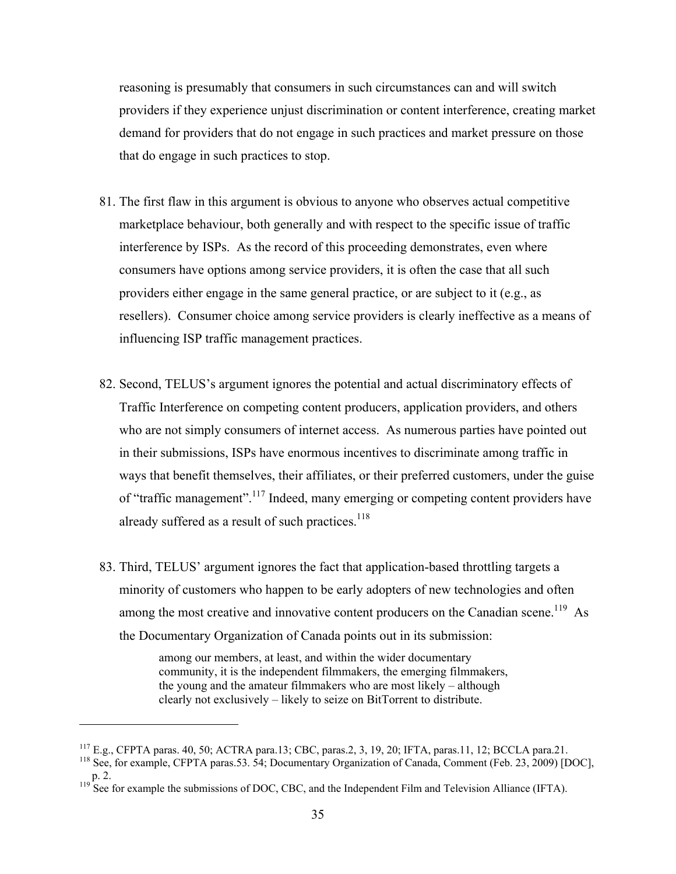reasoning is presumably that consumers in such circumstances can and will switch providers if they experience unjust discrimination or content interference, creating market demand for providers that do not engage in such practices and market pressure on those that do engage in such practices to stop.

- 81. The first flaw in this argument is obvious to anyone who observes actual competitive marketplace behaviour, both generally and with respect to the specific issue of traffic interference by ISPs. As the record of this proceeding demonstrates, even where consumers have options among service providers, it is often the case that all such providers either engage in the same general practice, or are subject to it (e.g., as resellers). Consumer choice among service providers is clearly ineffective as a means of influencing ISP traffic management practices.
- 82. Second, TELUS's argument ignores the potential and actual discriminatory effects of Traffic Interference on competing content producers, application providers, and others who are not simply consumers of internet access. As numerous parties have pointed out in their submissions, ISPs have enormous incentives to discriminate among traffic in ways that benefit themselves, their affiliates, or their preferred customers, under the guise of "traffic management".117 Indeed, many emerging or competing content providers have already suffered as a result of such practices. $118$
- 83. Third, TELUS' argument ignores the fact that application-based throttling targets a minority of customers who happen to be early adopters of new technologies and often among the most creative and innovative content producers on the Canadian scene.<sup>119</sup> As the Documentary Organization of Canada points out in its submission:

among our members, at least, and within the wider documentary community, it is the independent filmmakers, the emerging filmmakers, the young and the amateur filmmakers who are most likely – although clearly not exclusively – likely to seize on BitTorrent to distribute.

<sup>&</sup>lt;sup>117</sup> E.g., CFPTA paras. 40, 50; ACTRA para.13; CBC, paras.2, 3, 19, 20; IFTA, paras.11, 12; BCCLA para.21. <sup>118</sup> See, for example, CFPTA paras.53. 54; Documentary Organization of Canada, Comment (Feb. 23, 2009) [DOC],

p. 2. 119 See for example the submissions of DOC, CBC, and the Independent Film and Television Alliance (IFTA).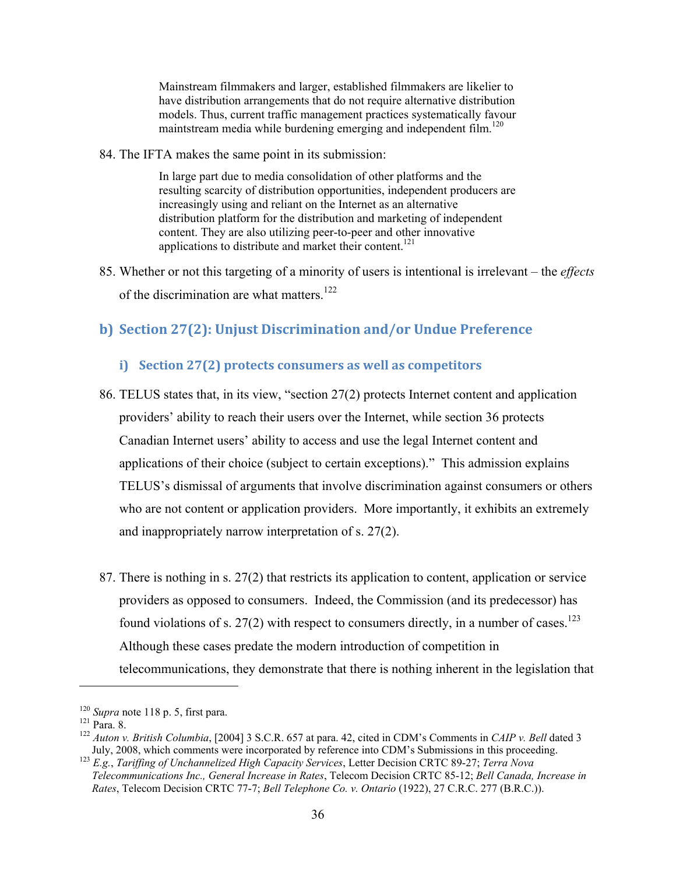Mainstream filmmakers and larger, established filmmakers are likelier to have distribution arrangements that do not require alternative distribution models. Thus, current traffic management practices systematically favour maintstream media while burdening emerging and independent film.<sup>120</sup>

84. The IFTA makes the same point in its submission:

In large part due to media consolidation of other platforms and the resulting scarcity of distribution opportunities, independent producers are increasingly using and reliant on the Internet as an alternative distribution platform for the distribution and marketing of independent content. They are also utilizing peer-to-peer and other innovative applications to distribute and market their content.<sup>121</sup>

85. Whether or not this targeting of a minority of users is intentional is irrelevant – the *effects* of the discrimination are what matters.<sup>122</sup>

### **b) Section 27(2): Unjust Discrimination and/or Undue Preference**

#### **i) Section 27(2) protects consumers as well as competitors**

- 86. TELUS states that, in its view, "section 27(2) protects Internet content and application providers' ability to reach their users over the Internet, while section 36 protects Canadian Internet users' ability to access and use the legal Internet content and applications of their choice (subject to certain exceptions)." This admission explains TELUS's dismissal of arguments that involve discrimination against consumers or others who are not content or application providers. More importantly, it exhibits an extremely and inappropriately narrow interpretation of s. 27(2).
- 87. There is nothing in s. 27(2) that restricts its application to content, application or service providers as opposed to consumers. Indeed, the Commission (and its predecessor) has found violations of s. 27(2) with respect to consumers directly, in a number of cases.<sup>123</sup> Although these cases predate the modern introduction of competition in telecommunications, they demonstrate that there is nothing inherent in the legislation that

<u>.</u>

<sup>&</sup>lt;sup>120</sup> *Supra* note 118 p. 5, first para.<br><sup>121</sup> Para. 8.<br><sup>122</sup> *Auton v. British Columbia*, [2004] 3 S.C.R. 657 at para. 42, cited in CDM's Comments in *CAIP v. Bell* dated 3<br>July, 2008, which comments were incorporated by

July, 2008, which comments were incorporated by reference into CDM's Submissions in this proceeding. 123 *E.g.*, *Tariffing of Unchannelized High Capacity Services*, Letter Decision CRTC 89-27; *Terra Nova Telecommunications Inc., General Increase in Rates*, Telecom Decision CRTC 85-12; *Bell Canada, Increase in Rates*, Telecom Decision CRTC 77-7; *Bell Telephone Co. v. Ontario* (1922), 27 C.R.C. 277 (B.R.C.)).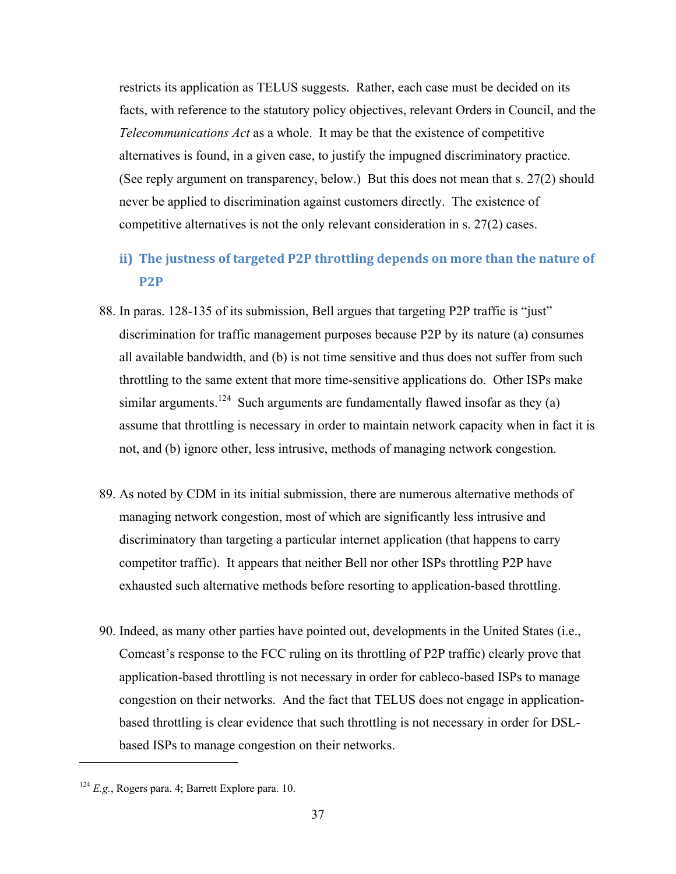restricts its application as TELUS suggests. Rather, each case must be decided on its facts, with reference to the statutory policy objectives, relevant Orders in Council, and the *Telecommunications Act* as a whole. It may be that the existence of competitive alternatives is found, in a given case, to justify the impugned discriminatory practice. (See reply argument on transparency, below.) But this does not mean that s. 27(2) should never be applied to discrimination against customers directly. The existence of competitive alternatives is not the only relevant consideration in s. 27(2) cases.

- **ii) The justness of targeted P2P throttling depends on more than the nature of P2P**
- 88. In paras. 128-135 of its submission, Bell argues that targeting P2P traffic is "just" discrimination for traffic management purposes because P2P by its nature (a) consumes all available bandwidth, and (b) is not time sensitive and thus does not suffer from such throttling to the same extent that more time-sensitive applications do. Other ISPs make similar arguments.<sup>124</sup> Such arguments are fundamentally flawed insofar as they (a) assume that throttling is necessary in order to maintain network capacity when in fact it is not, and (b) ignore other, less intrusive, methods of managing network congestion.
- 89. As noted by CDM in its initial submission, there are numerous alternative methods of managing network congestion, most of which are significantly less intrusive and discriminatory than targeting a particular internet application (that happens to carry competitor traffic). It appears that neither Bell nor other ISPs throttling P2P have exhausted such alternative methods before resorting to application-based throttling.
- 90. Indeed, as many other parties have pointed out, developments in the United States (i.e., Comcast's response to the FCC ruling on its throttling of P2P traffic) clearly prove that application-based throttling is not necessary in order for cableco-based ISPs to manage congestion on their networks. And the fact that TELUS does not engage in applicationbased throttling is clear evidence that such throttling is not necessary in order for DSLbased ISPs to manage congestion on their networks.

<sup>124</sup> *E.g.*, Rogers para. 4; Barrett Explore para. 10.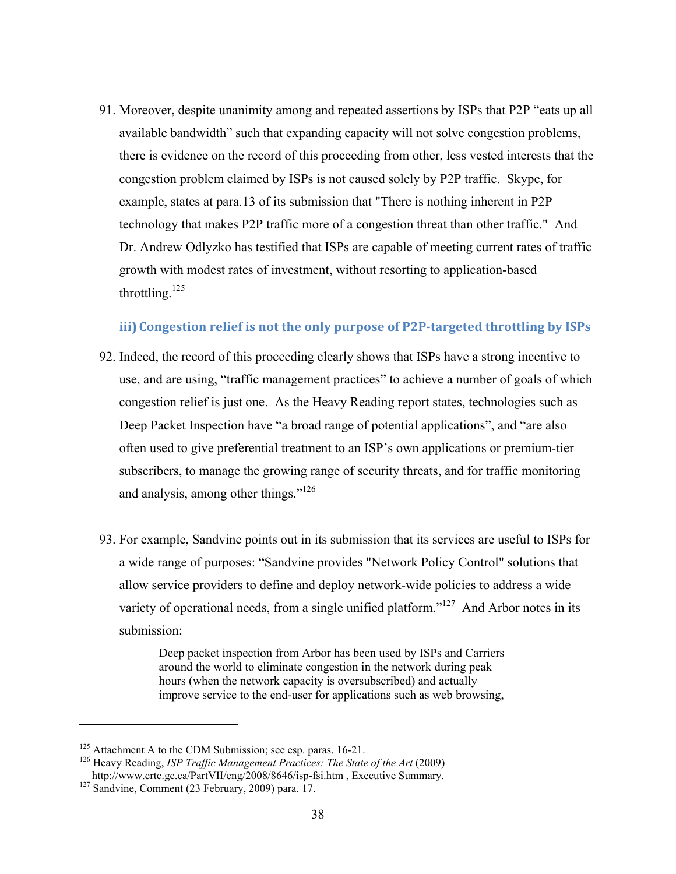91. Moreover, despite unanimity among and repeated assertions by ISPs that P2P "eats up all available bandwidth" such that expanding capacity will not solve congestion problems, there is evidence on the record of this proceeding from other, less vested interests that the congestion problem claimed by ISPs is not caused solely by P2P traffic. Skype, for example, states at para.13 of its submission that "There is nothing inherent in P2P technology that makes P2P traffic more of a congestion threat than other traffic." And Dr. Andrew Odlyzko has testified that ISPs are capable of meeting current rates of traffic growth with modest rates of investment, without resorting to application-based throttling. $125$ 

#### **iii) Congestion relief is not the only purpose of P2P-targeted throttling by ISPs**

- 92. Indeed, the record of this proceeding clearly shows that ISPs have a strong incentive to use, and are using, "traffic management practices" to achieve a number of goals of which congestion relief is just one. As the Heavy Reading report states, technologies such as Deep Packet Inspection have "a broad range of potential applications", and "are also often used to give preferential treatment to an ISP's own applications or premium-tier subscribers, to manage the growing range of security threats, and for traffic monitoring and analysis, among other things."<sup>126</sup>
- 93. For example, Sandvine points out in its submission that its services are useful to ISPs for a wide range of purposes: "Sandvine provides "Network Policy Control" solutions that allow service providers to define and deploy network-wide policies to address a wide variety of operational needs, from a single unified platform."<sup>127</sup> And Arbor notes in its submission:

Deep packet inspection from Arbor has been used by ISPs and Carriers around the world to eliminate congestion in the network during peak hours (when the network capacity is oversubscribed) and actually improve service to the end-user for applications such as web browsing,

<sup>&</sup>lt;sup>125</sup> Attachment A to the CDM Submission; see esp. paras. 16-21.<br><sup>126</sup> Heavy Reading, *ISP Traffic Management Practices: The State of the Art* (2009)

http://www.crtc.gc.ca/PartVII/eng/2008/8646/isp-fsi.htm , Executive Summary. 127 Sandvine, Comment (23 February, 2009) para. 17.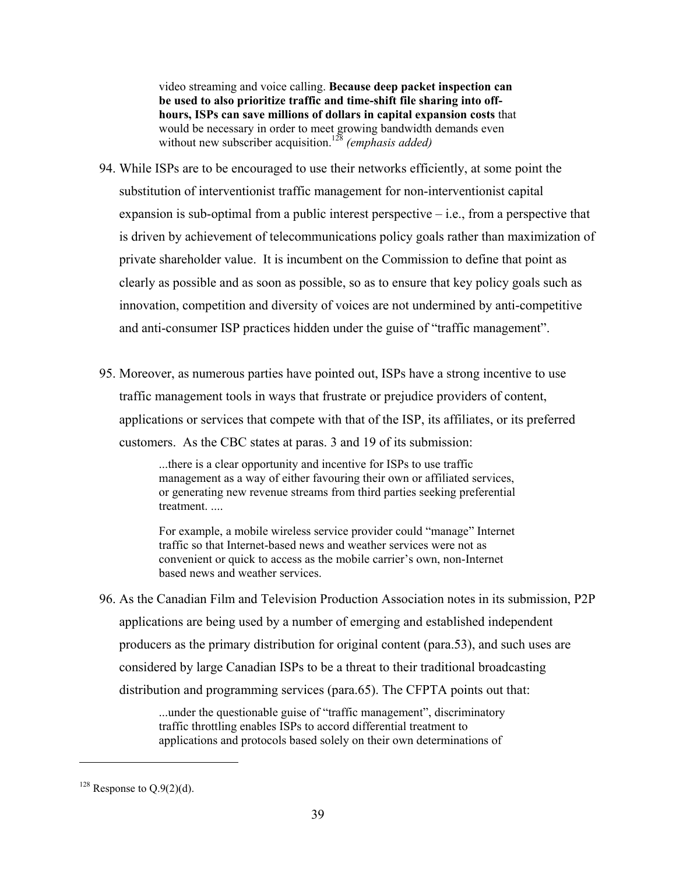video streaming and voice calling. **Because deep packet inspection can be used to also prioritize traffic and time-shift file sharing into offhours, ISPs can save millions of dollars in capital expansion costs** that would be necessary in order to meet growing bandwidth demands even without new subscriber acquisition.<sup>128</sup> (emphasis added)

- 94. While ISPs are to be encouraged to use their networks efficiently, at some point the substitution of interventionist traffic management for non-interventionist capital expansion is sub-optimal from a public interest perspective – i.e., from a perspective that is driven by achievement of telecommunications policy goals rather than maximization of private shareholder value. It is incumbent on the Commission to define that point as clearly as possible and as soon as possible, so as to ensure that key policy goals such as innovation, competition and diversity of voices are not undermined by anti-competitive and anti-consumer ISP practices hidden under the guise of "traffic management".
- 95. Moreover, as numerous parties have pointed out, ISPs have a strong incentive to use traffic management tools in ways that frustrate or prejudice providers of content, applications or services that compete with that of the ISP, its affiliates, or its preferred customers. As the CBC states at paras. 3 and 19 of its submission:

...there is a clear opportunity and incentive for ISPs to use traffic management as a way of either favouring their own or affiliated services, or generating new revenue streams from third parties seeking preferential treatment. ....

For example, a mobile wireless service provider could "manage" Internet traffic so that Internet-based news and weather services were not as convenient or quick to access as the mobile carrier's own, non-Internet based news and weather services.

96. As the Canadian Film and Television Production Association notes in its submission, P2P applications are being used by a number of emerging and established independent producers as the primary distribution for original content (para.53), and such uses are considered by large Canadian ISPs to be a threat to their traditional broadcasting distribution and programming services (para.65). The CFPTA points out that:

> ...under the questionable guise of "traffic management", discriminatory traffic throttling enables ISPs to accord differential treatment to applications and protocols based solely on their own determinations of

 $128$  Response to Q.9(2)(d).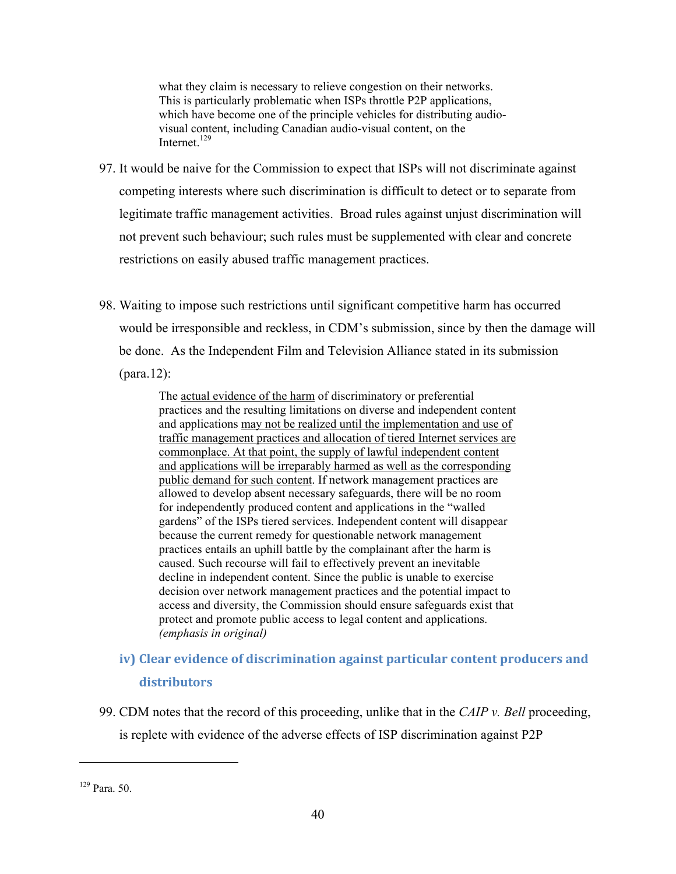what they claim is necessary to relieve congestion on their networks. This is particularly problematic when ISPs throttle P2P applications, which have become one of the principle vehicles for distributing audiovisual content, including Canadian audio-visual content, on the Internet.<sup>129</sup>

- 97. It would be naive for the Commission to expect that ISPs will not discriminate against competing interests where such discrimination is difficult to detect or to separate from legitimate traffic management activities. Broad rules against unjust discrimination will not prevent such behaviour; such rules must be supplemented with clear and concrete restrictions on easily abused traffic management practices.
- 98. Waiting to impose such restrictions until significant competitive harm has occurred would be irresponsible and reckless, in CDM's submission, since by then the damage will be done. As the Independent Film and Television Alliance stated in its submission (para.12):

The actual evidence of the harm of discriminatory or preferential practices and the resulting limitations on diverse and independent content and applications may not be realized until the implementation and use of traffic management practices and allocation of tiered Internet services are commonplace. At that point, the supply of lawful independent content and applications will be irreparably harmed as well as the corresponding public demand for such content. If network management practices are allowed to develop absent necessary safeguards, there will be no room for independently produced content and applications in the "walled gardens" of the ISPs tiered services. Independent content will disappear because the current remedy for questionable network management practices entails an uphill battle by the complainant after the harm is caused. Such recourse will fail to effectively prevent an inevitable decline in independent content. Since the public is unable to exercise decision over network management practices and the potential impact to access and diversity, the Commission should ensure safeguards exist that protect and promote public access to legal content and applications. *(emphasis in original)* 

- **iv) Clear evidence of discrimination against particular content producers and distributors**
- 99. CDM notes that the record of this proceeding, unlike that in the *CAIP v. Bell* proceeding, is replete with evidence of the adverse effects of ISP discrimination against P2P

<sup>129</sup> Para. 50.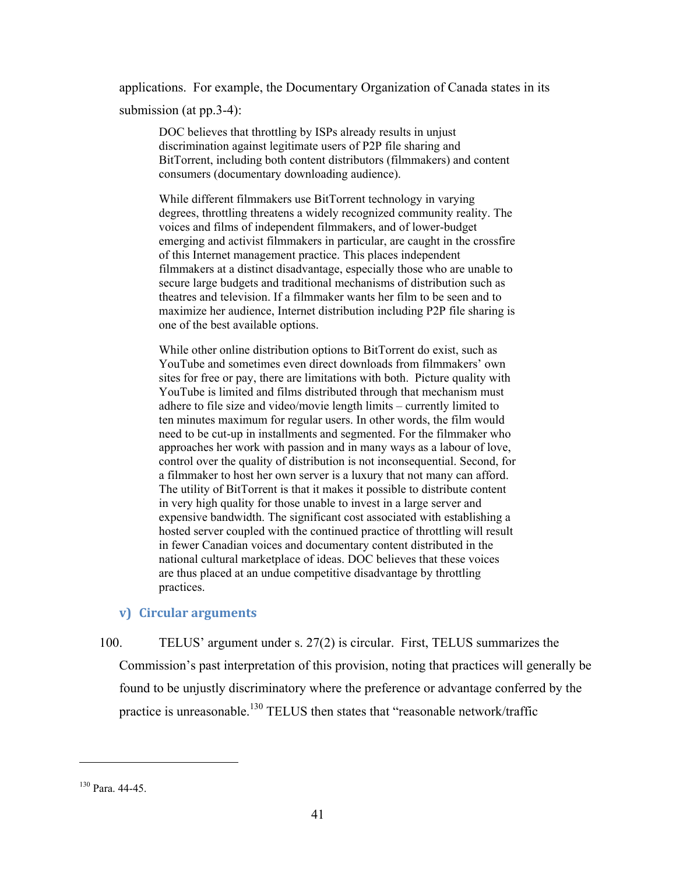applications. For example, the Documentary Organization of Canada states in its submission (at pp.3-4):

DOC believes that throttling by ISPs already results in unjust discrimination against legitimate users of P2P file sharing and BitTorrent, including both content distributors (filmmakers) and content consumers (documentary downloading audience).

While different filmmakers use BitTorrent technology in varying degrees, throttling threatens a widely recognized community reality. The voices and films of independent filmmakers, and of lower-budget emerging and activist filmmakers in particular, are caught in the crossfire of this Internet management practice. This places independent filmmakers at a distinct disadvantage, especially those who are unable to secure large budgets and traditional mechanisms of distribution such as theatres and television. If a filmmaker wants her film to be seen and to maximize her audience, Internet distribution including P2P file sharing is one of the best available options.

While other online distribution options to BitTorrent do exist, such as YouTube and sometimes even direct downloads from filmmakers' own sites for free or pay, there are limitations with both. Picture quality with YouTube is limited and films distributed through that mechanism must adhere to file size and video/movie length limits – currently limited to ten minutes maximum for regular users. In other words, the film would need to be cut-up in installments and segmented. For the filmmaker who approaches her work with passion and in many ways as a labour of love, control over the quality of distribution is not inconsequential. Second, for a filmmaker to host her own server is a luxury that not many can afford. The utility of BitTorrent is that it makes it possible to distribute content in very high quality for those unable to invest in a large server and expensive bandwidth. The significant cost associated with establishing a hosted server coupled with the continued practice of throttling will result in fewer Canadian voices and documentary content distributed in the national cultural marketplace of ideas. DOC believes that these voices are thus placed at an undue competitive disadvantage by throttling practices.

#### **v) Circular arguments**

100. TELUS' argument under s. 27(2) is circular. First, TELUS summarizes the Commission's past interpretation of this provision, noting that practices will generally be found to be unjustly discriminatory where the preference or advantage conferred by the practice is unreasonable.<sup>130</sup> TELUS then states that "reasonable network/traffic

<sup>130</sup> Para. 44-45.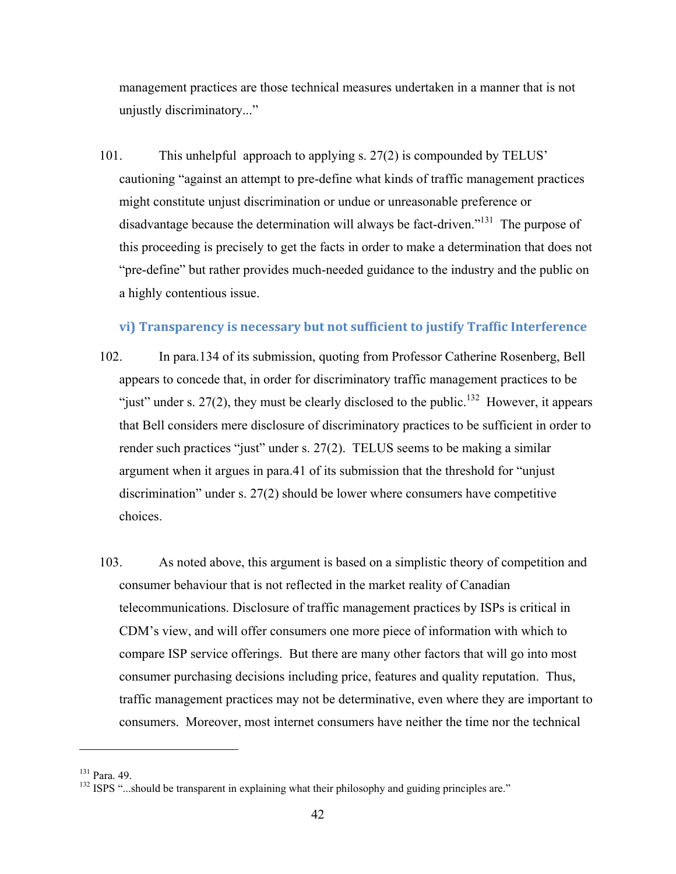management practices are those technical measures undertaken in a manner that is not unjustly discriminatory..."

101. This unhelpful approach to applying s. 27(2) is compounded by TELUS' cautioning "against an attempt to pre-define what kinds of traffic management practices might constitute unjust discrimination or undue or unreasonable preference or disadvantage because the determination will always be fact-driven."131 The purpose of this proceeding is precisely to get the facts in order to make a determination that does not "pre-define" but rather provides much-needed guidance to the industry and the public on a highly contentious issue.

#### **vi) Transparency is necessary but not sufficient to justify Traffic Interference**

- 102. In para.134 of its submission, quoting from Professor Catherine Rosenberg, Bell appears to concede that, in order for discriminatory traffic management practices to be "just" under s. 27(2), they must be clearly disclosed to the public.<sup>132</sup> However, it appears that Bell considers mere disclosure of discriminatory practices to be sufficient in order to render such practices "just" under s. 27(2). TELUS seems to be making a similar argument when it argues in para.41 of its submission that the threshold for "unjust discrimination" under s. 27(2) should be lower where consumers have competitive choices.
- 103. As noted above, this argument is based on a simplistic theory of competition and consumer behaviour that is not reflected in the market reality of Canadian telecommunications. Disclosure of traffic management practices by ISPs is critical in CDM's view, and will offer consumers one more piece of information with which to compare ISP service offerings. But there are many other factors that will go into most consumer purchasing decisions including price, features and quality reputation. Thus, traffic management practices may not be determinative, even where they are important to consumers. Moreover, most internet consumers have neither the time nor the technical

<sup>&</sup>lt;sup>131</sup> Para. 49.<br><sup>132</sup> ISPS "...should be transparent in explaining what their philosophy and guiding principles are."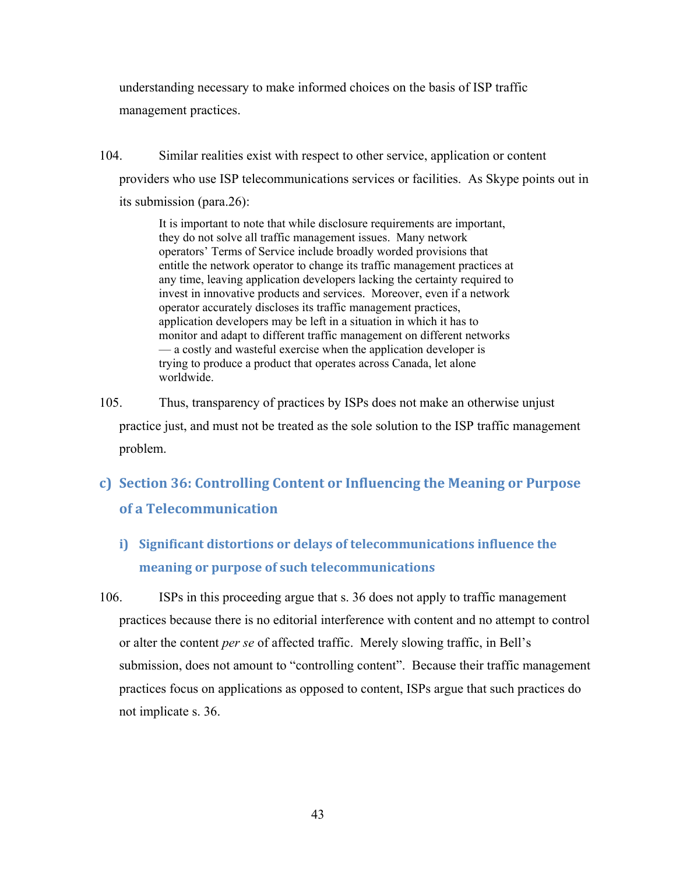understanding necessary to make informed choices on the basis of ISP traffic management practices.

104. Similar realities exist with respect to other service, application or content providers who use ISP telecommunications services or facilities. As Skype points out in its submission (para.26):

> It is important to note that while disclosure requirements are important, they do not solve all traffic management issues. Many network operators' Terms of Service include broadly worded provisions that entitle the network operator to change its traffic management practices at any time, leaving application developers lacking the certainty required to invest in innovative products and services. Moreover, even if a network operator accurately discloses its traffic management practices, application developers may be left in a situation in which it has to monitor and adapt to different traffic management on different networks — a costly and wasteful exercise when the application developer is trying to produce a product that operates across Canada, let alone worldwide.

105. Thus, transparency of practices by ISPs does not make an otherwise unjust practice just, and must not be treated as the sole solution to the ISP traffic management problem.

## **c) Section 36: Controlling Content or Influencing the Meaning or Purpose of a Telecommunication**

- **i) Significant distortions or delays of telecommunications influence the meaning or purpose of such telecommunications**
- 106. ISPs in this proceeding argue that s. 36 does not apply to traffic management practices because there is no editorial interference with content and no attempt to control or alter the content *per se* of affected traffic. Merely slowing traffic, in Bell's submission, does not amount to "controlling content". Because their traffic management practices focus on applications as opposed to content, ISPs argue that such practices do not implicate s. 36.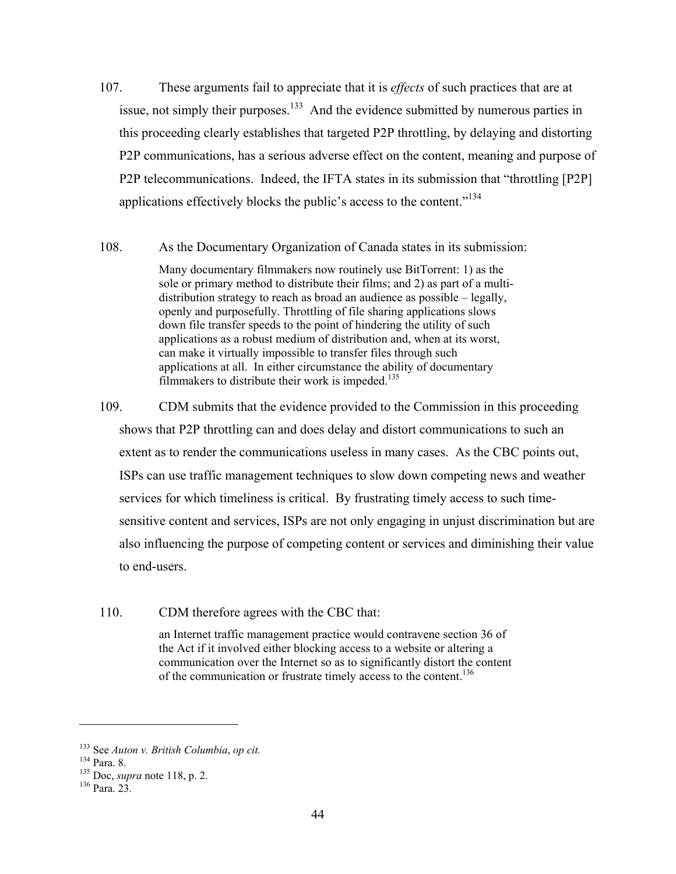- 107. These arguments fail to appreciate that it is *effects* of such practices that are at issue, not simply their purposes.<sup>133</sup> And the evidence submitted by numerous parties in this proceeding clearly establishes that targeted P2P throttling, by delaying and distorting P2P communications, has a serious adverse effect on the content, meaning and purpose of P2P telecommunications. Indeed, the IFTA states in its submission that "throttling [P2P] applications effectively blocks the public's access to the content."134
- 108. As the Documentary Organization of Canada states in its submission:

Many documentary filmmakers now routinely use BitTorrent: 1) as the sole or primary method to distribute their films; and 2) as part of a multidistribution strategy to reach as broad an audience as possible – legally, openly and purposefully. Throttling of file sharing applications slows down file transfer speeds to the point of hindering the utility of such applications as a robust medium of distribution and, when at its worst, can make it virtually impossible to transfer files through such applications at all. In either circumstance the ability of documentary filmmakers to distribute their work is impeded.<sup>135</sup>

109. CDM submits that the evidence provided to the Commission in this proceeding shows that P2P throttling can and does delay and distort communications to such an extent as to render the communications useless in many cases. As the CBC points out, ISPs can use traffic management techniques to slow down competing news and weather services for which timeliness is critical. By frustrating timely access to such timesensitive content and services, ISPs are not only engaging in unjust discrimination but are also influencing the purpose of competing content or services and diminishing their value to end-users.

110. CDM therefore agrees with the CBC that:

an Internet traffic management practice would contravene section 36 of the Act if it involved either blocking access to a website or altering a communication over the Internet so as to significantly distort the content of the communication or frustrate timely access to the content.136

<sup>&</sup>lt;sup>133</sup> See *Auton v. British Columbia*, *op cit.* <sup>134</sup> Para. 8.<br><sup>135</sup> Doc, *supra* note 118, p. 2. <sup>136</sup> Para. 23.